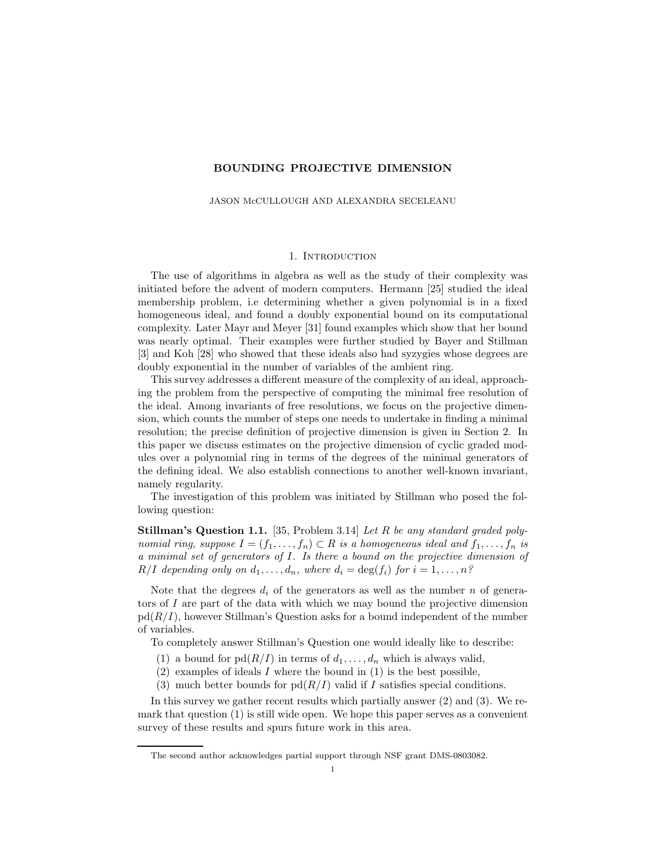## BOUNDING PROJECTIVE DIMENSION

JASON McCULLOUGH AND ALEXANDRA SECELEANU

## 1. INTRODUCTION

The use of algorithms in algebra as well as the study of their complexity was initiated before the advent of modern computers. Hermann [25] studied the ideal membership problem, i.e determining whether a given polynomial is in a fixed homogeneous ideal, and found a doubly exponential bound on its computational complexity. Later Mayr and Meyer [31] found examples which show that her bound was nearly optimal. Their examples were further studied by Bayer and Stillman [3] and Koh [28] who showed that these ideals also had syzygies whose degrees are doubly exponential in the number of variables of the ambient ring.

This survey addresses a different measure of the complexity of an ideal, approaching the problem from the perspective of computing the minimal free resolution of the ideal. Among invariants of free resolutions, we focus on the projective dimension, which counts the number of steps one needs to undertake in finding a minimal resolution; the precise definition of projective dimension is given in Section 2. In this paper we discuss estimates on the projective dimension of cyclic graded modules over a polynomial ring in terms of the degrees of the minimal generators of the defining ideal. We also establish connections to another well-known invariant, namely regularity.

The investigation of this problem was initiated by Stillman who posed the following question:

Stillman's Question 1.1. [35, Problem 3.14] Let R be any standard graded polynomial ring, suppose  $I = (f_1, \ldots, f_n) \subset R$  is a homogeneous ideal and  $f_1, \ldots, f_n$  is a minimal set of generators of I. Is there a bound on the projective dimension of  $R/I$  depending only on  $d_1, \ldots, d_n$ , where  $d_i = \deg(f_i)$  for  $i = 1, \ldots, n$ ?

Note that the degrees  $d_i$  of the generators as well as the number n of generators of I are part of the data with which we may bound the projective dimension  $pd(R/I)$ , however Stillman's Question asks for a bound independent of the number of variables.

To completely answer Stillman's Question one would ideally like to describe:

- (1) a bound for  $\text{pd}(R/I)$  in terms of  $d_1, \ldots, d_n$  which is always valid,
- $(2)$  examples of ideals I where the bound in  $(1)$  is the best possible,
- (3) much better bounds for  $pd(R/I)$  valid if I satisfies special conditions.

In this survey we gather recent results which partially answer (2) and (3). We remark that question (1) is still wide open. We hope this paper serves as a convenient survey of these results and spurs future work in this area.

The second author acknowledges partial support through NSF grant DMS-0803082.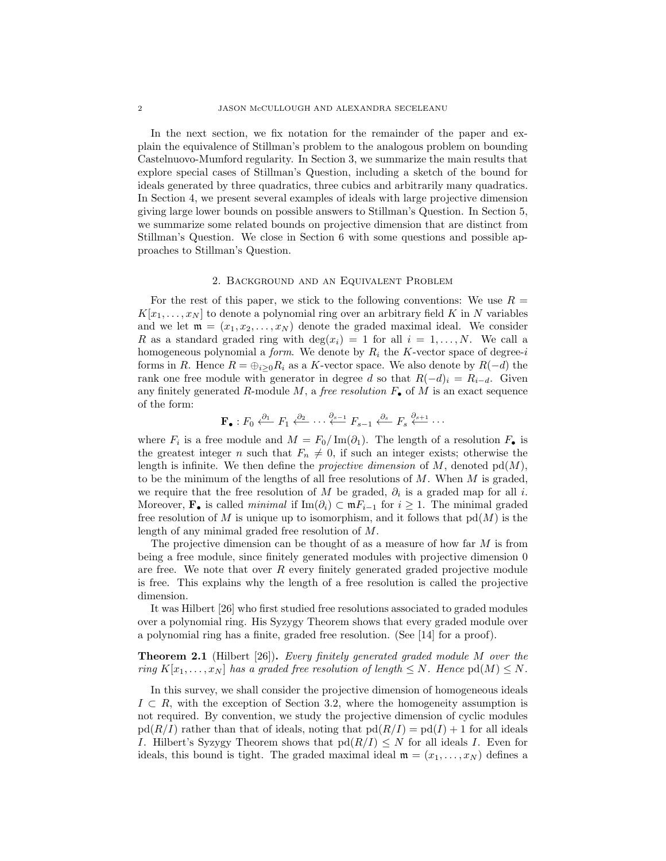In the next section, we fix notation for the remainder of the paper and explain the equivalence of Stillman's problem to the analogous problem on bounding Castelnuovo-Mumford regularity. In Section 3, we summarize the main results that explore special cases of Stillman's Question, including a sketch of the bound for ideals generated by three quadratics, three cubics and arbitrarily many quadratics. In Section 4, we present several examples of ideals with large projective dimension giving large lower bounds on possible answers to Stillman's Question. In Section 5, we summarize some related bounds on projective dimension that are distinct from Stillman's Question. We close in Section 6 with some questions and possible approaches to Stillman's Question.

## 2. Background and an Equivalent Problem

For the rest of this paper, we stick to the following conventions: We use  $R =$  $K[x_1, \ldots, x_N]$  to denote a polynomial ring over an arbitrary field K in N variables and we let  $\mathfrak{m} = (x_1, x_2, \ldots, x_N)$  denote the graded maximal ideal. We consider R as a standard graded ring with  $deg(x_i) = 1$  for all  $i = 1, ..., N$ . We call a homogeneous polynomial a *form*. We denote by  $R_i$  the K-vector space of degree-i forms in R. Hence  $R = \bigoplus_{i>0} R_i$  as a K-vector space. We also denote by  $R(-d)$  the rank one free module with generator in degree d so that  $R(-d)_i = R_{i-d}$ . Given any finitely generated R-module M, a free resolution  $F_{\bullet}$  of M is an exact sequence of the form:

$$
\mathbf{F}_{\bullet}: F_0 \xleftarrow{\partial_1} F_1 \xleftarrow{\partial_2} \cdots \xleftarrow{\partial_{s-1}} F_{s-1} \xleftarrow{\partial_s} F_s \xleftarrow{\partial_{s+1}} \cdots
$$

where  $F_i$  is a free module and  $M = F_0 / \text{Im}(\partial_1)$ . The length of a resolution  $F_{\bullet}$  is the greatest integer n such that  $F_n \neq 0$ , if such an integer exists; otherwise the length is infinite. We then define the *projective dimension* of  $M$ , denoted  $pd(M)$ , to be the minimum of the lengths of all free resolutions of  $M$ . When  $M$  is graded, we require that the free resolution of M be graded,  $\partial_i$  is a graded map for all i. Moreover,  $\mathbf{F}_{\bullet}$  is called *minimal* if Im( $\partial_i$ ) ⊂  $\mathfrak{m}F_{i-1}$  for  $i \geq 1$ . The minimal graded free resolution of M is unique up to isomorphism, and it follows that  $pd(M)$  is the length of any minimal graded free resolution of M.

The projective dimension can be thought of as a measure of how far  $M$  is from being a free module, since finitely generated modules with projective dimension 0 are free. We note that over  $R$  every finitely generated graded projective module is free. This explains why the length of a free resolution is called the projective dimension.

It was Hilbert [26] who first studied free resolutions associated to graded modules over a polynomial ring. His Syzygy Theorem shows that every graded module over a polynomial ring has a finite, graded free resolution. (See [14] for a proof).

Theorem 2.1 (Hilbert [26]). Every finitely generated graded module M over the ring  $K[x_1, \ldots, x_N]$  has a graded free resolution of length  $\leq N$ . Hence  $\text{pd}(M) \leq N$ .

In this survey, we shall consider the projective dimension of homogeneous ideals  $I \subset R$ , with the exception of Section 3.2, where the homogeneity assumption is not required. By convention, we study the projective dimension of cyclic modules  $pd(R/I)$  rather than that of ideals, noting that  $pd(R/I) = pd(I) + 1$  for all ideals I. Hilbert's Syzygy Theorem shows that  $\text{pd}(R/I) \leq N$  for all ideals I. Even for ideals, this bound is tight. The graded maximal ideal  $\mathfrak{m} = (x_1, \ldots, x_N)$  defines a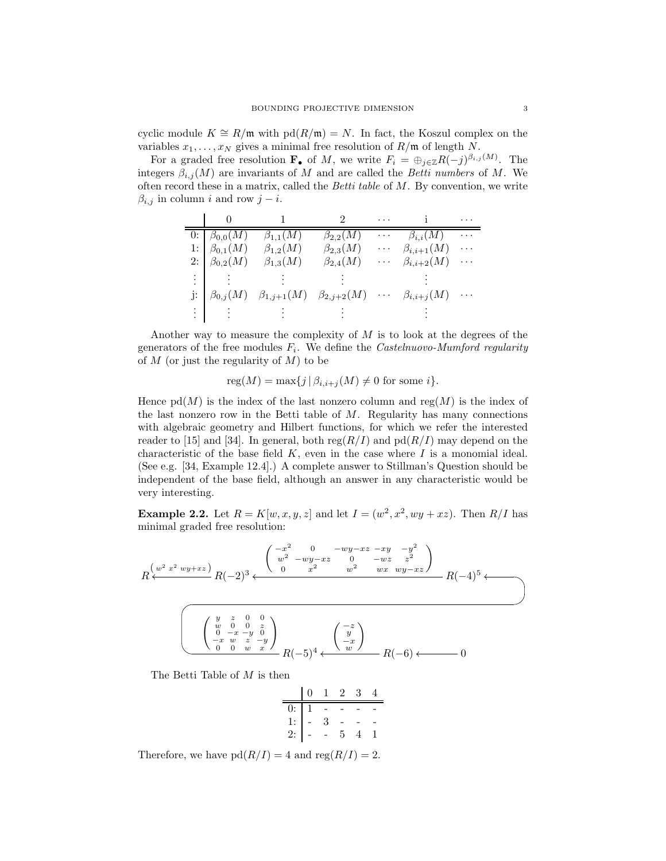cyclic module  $K \cong R/\mathfrak{m}$  with  $\text{pd}(R/\mathfrak{m}) = N$ . In fact, the Koszul complex on the variables  $x_1, \ldots, x_N$  gives a minimal free resolution of  $R/\mathfrak{m}$  of length N.

For a graded free resolution  $\mathbf{F}_{\bullet}$  of M, we write  $F_i = \bigoplus_{j \in \mathbb{Z}} R(-j)^{\beta_{i,j}(M)}$ . The integers  $\beta_{i,j}(M)$  are invariants of M and are called the Betti numbers of M. We often record these in a matrix, called the *Betti table* of  $M$ . By convention, we write  $\beta_{i,j}$  in column i and row  $j - i$ .

|    |                     |                                                                                    |                  | $\cdots$ |                    |          |
|----|---------------------|------------------------------------------------------------------------------------|------------------|----------|--------------------|----------|
|    | 0: $\beta_{0,0}(M)$ | $\beta_{1,1}(M)$                                                                   | $\beta_{2,2}(M)$ | $\cdots$ | $\beta_{i,i}(M)$   |          |
| 1: | $\beta_{0,1}(M)$    | $\beta_{1,2}(M)$                                                                   | $\beta_{2,3}(M)$ |          | $\beta_{i,i+1}(M)$ |          |
|    | 2: $\beta_{0,2}(M)$ | $\beta_{1,3}(M)$                                                                   | $\beta_{2,4}(M)$ | $\cdots$ | $\beta_{i,i+2}(M)$ | $\cdots$ |
|    |                     |                                                                                    |                  |          |                    |          |
|    |                     | $\beta_{0,j}(M)$ $\beta_{1,j+1}(M)$ $\beta_{2,j+2}(M)$ $\cdots$ $\beta_{i,i+j}(M)$ |                  |          |                    |          |
|    |                     |                                                                                    |                  |          |                    |          |

Another way to measure the complexity of  $M$  is to look at the degrees of the generators of the free modules  $F_i$ . We define the *Castelnuovo-Mumford regularity* of  $M$  (or just the regularity of  $M$ ) to be

$$
reg(M) = max{j | \beta_{i,i+j}(M) \neq 0 \text{ for some } i}.
$$

Hence  $pd(M)$  is the index of the last nonzero column and reg $(M)$  is the index of the last nonzero row in the Betti table of  $M$ . Regularity has many connections with algebraic geometry and Hilbert functions, for which we refer the interested reader to [15] and [34]. In general, both reg $(R/I)$  and  $pd(R/I)$  may depend on the characteristic of the base field  $K$ , even in the case where  $I$  is a monomial ideal. (See e.g. [34, Example 12.4].) A complete answer to Stillman's Question should be independent of the base field, although an answer in any characteristic would be very interesting.

**Example 2.2.** Let  $R = K[w, x, y, z]$  and let  $I = (w^2, x^2, wy + xz)$ . Then  $R/I$  has minimal graded free resolution:

$$
R \stackrel{\begin{pmatrix} w^2 & x^2 & wy+xz \\ w^2 & -wy & -xz & 0 \\ w^2 & -wy & -xz & 0 \\ 0 & x^2 & w^2 & wx & wy-xz \end{pmatrix}}{R(-2)^3 \leftarrow R(-2)^3 \leftarrow R(-2)^3 \leftarrow R(-2)^3 \leftarrow R(-2)^5 \leftarrow R(-4)^5 \leftarrow R(-4)^5 \leftarrow R(-4)^5 \leftarrow R(-4)^5 \leftarrow R(-4)^5 \leftarrow R(-4)^5 \leftarrow R(-4)^5 \leftarrow R(-4)^5 \leftarrow R(-5)^4 \leftarrow R(-5)^4 \leftarrow R(-5)^4 \leftarrow R(-5)^4 \leftarrow R(-5)^4 \leftarrow R(-5)^4 \leftarrow R(-5)^4 \leftarrow R(-5)^4 \leftarrow R(-5)^4 \leftarrow R(-5)^4 \leftarrow R(-5)^4 \leftarrow R(-5)^4 \leftarrow R(-5)^4 \leftarrow R(-5)^4 \leftarrow R(-5)^4 \leftarrow R(-5)^4 \leftarrow R(-5)^4 \leftarrow R(-5)^4 \leftarrow R(-5)^4 \leftarrow R(-5)^4 \leftarrow R(-5)^4 \leftarrow R(-5)^4 \leftarrow R(-5)^4 \leftarrow R(-5)^4 \leftarrow R(-5)^4 \leftarrow R(-5)^4 \leftarrow R(-5)^4 \leftarrow R(-5)^4 \leftarrow R(-5)^4 \leftarrow R(-5)^4 \leftarrow R(-5)^4 \leftarrow R(-5)^4 \leftarrow R(-5)^4 \leftarrow R(-5)^4 \leftarrow R(-5)^4 \leftarrow R(-5)^4 \leftarrow R(-5)^4 \leftarrow R(-5)^4 \leftarrow R(-5)^4 \leftarrow R(-5)^4 \leftarrow R(-5)^4 \leftarrow R(-5)^4 \leftarrow R(-5)^4 \leftarrow R(-5)^4 \leftarrow R(-5)^4 \leftarrow R(-5)^4 \leftarrow R(-5)^4 \leftarrow R(-5)^4 \leftarrow R(-5)^4 \leftarrow R(-5)^4 \leftarrow R(-5)^4 \leftarrow R(-5)^4 \leftarrow R(-5)^4 \leftarrow R(-5)^4 \leftarrow R(-5)^4 \leftarrow R(-5)^4 \leftarrow R(-5)^4 \leftarrow R(-5)^4 \leftarrow R(-5)^4 \leftarrow R(-5)^4 \leftarrow R(-5)^4 \leftarrow R(-5)^4 \leftarrow R(-5)^4 \leftarrow R(-5)^4 \leftarrow R(-5)^4 \leftarrow R(-5)^4 \leftarrow R(-5)^4 \leftarrow R(-5)^4 \leftarrow R(-5)^4 \leftarrow R(-5)^4 \leftarrow R(-5)^4 \leftarrow R(-5)^4 \leftarrow R(-5)^4 \leftarrow
$$

The Betti Table of M is then

$$
\begin{array}{c|cccc}\n & 0 & 1 & 2 & 3 & 4 \\
\hline\n0: & 1 & - & - & - \\
1: & - & 3 & - & - \\
2: & - & - & 5 & 4 & 1\n\end{array}
$$

Therefore, we have  $\text{pd}(R/I) = 4$  and  $\text{reg}(R/I) = 2$ .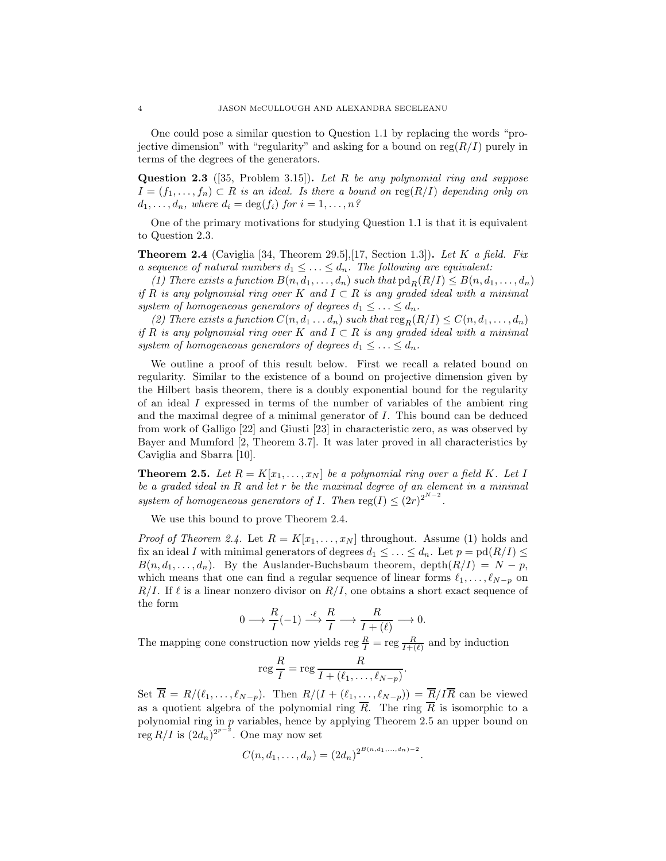One could pose a similar question to Question 1.1 by replacing the words "projective dimension" with "regularity" and asking for a bound on reg $(R/I)$  purely in terms of the degrees of the generators.

**Question 2.3** ([35, Problem 3.15]). Let R be any polynomial ring and suppose  $I = (f_1, \ldots, f_n) \subset R$  is an ideal. Is there a bound on  $\text{reg}(R/I)$  depending only on  $d_1, \ldots, d_n$ , where  $d_i = \deg(f_i)$  for  $i = 1, \ldots, n$ ?

One of the primary motivations for studying Question 1.1 is that it is equivalent to Question 2.3.

**Theorem 2.4** (Caviglia [34, Theorem 29.5], [17, Section 1.3]). Let K a field. Fix a sequence of natural numbers  $d_1 \leq \ldots \leq d_n$ . The following are equivalent:

(1) There exists a function  $B(n, d_1, \ldots, d_n)$  such that  $\text{pd}_R(R/I) \leq B(n, d_1, \ldots, d_n)$ if R is any polynomial ring over K and  $I \subset R$  is any graded ideal with a minimal system of homogeneous generators of degrees  $d_1 \leq \ldots \leq d_n$ .

(2) There exists a function  $C(n, d_1 ... d_n)$  such that  $\text{reg}_R(R/I) \leq C(n, d_1, ..., d_n)$ if R is any polynomial ring over K and  $I \subset R$  is any graded ideal with a minimal system of homogeneous generators of degrees  $d_1 \leq \ldots \leq d_n$ .

We outline a proof of this result below. First we recall a related bound on regularity. Similar to the existence of a bound on projective dimension given by the Hilbert basis theorem, there is a doubly exponential bound for the regularity of an ideal I expressed in terms of the number of variables of the ambient ring and the maximal degree of a minimal generator of I. This bound can be deduced from work of Galligo [22] and Giusti [23] in characteristic zero, as was observed by Bayer and Mumford [2, Theorem 3.7]. It was later proved in all characteristics by Caviglia and Sbarra [10].

**Theorem 2.5.** Let  $R = K[x_1, \ldots, x_N]$  be a polynomial ring over a field K. Let I be a graded ideal in R and let r be the maximal degree of an element in a minimal system of homogeneous generators of I. Then  $\text{reg}(I) \leq (2r)^{2^{N-2}}$ .

We use this bound to prove Theorem 2.4.

*Proof of Theorem 2.4.* Let  $R = K[x_1, \ldots, x_N]$  throughout. Assume (1) holds and fix an ideal I with minimal generators of degrees  $d_1 \leq \ldots \leq d_n$ . Let  $p = \text{pd}(R/I) \leq$  $B(n, d_1, \ldots, d_n)$ . By the Auslander-Buchsbaum theorem, depth $(R/I) = N - p$ , which means that one can find a regular sequence of linear forms  $\ell_1, \ldots, \ell_{N-p}$  on  $R/I$ . If  $\ell$  is a linear nonzero divisor on  $R/I$ , one obtains a short exact sequence of the form

$$
0 \longrightarrow \frac{R}{I}(-1) \stackrel{\cdot \ell}{\longrightarrow} \frac{R}{I} \longrightarrow \frac{R}{I + (\ell)} \longrightarrow 0.
$$

The mapping cone construction now yields reg  $\frac{R}{I} = \text{reg } \frac{R}{I+(l)}$  and by induction

$$
\operatorname{reg}\frac{R}{I}=\operatorname{reg}\frac{R}{I+(\ell_1,\ldots,\ell_{N-p})}.
$$

Set  $\overline{R} = R/(\ell_1,\ldots,\ell_{N-p})$ . Then  $R/(I+(\ell_1,\ldots,\ell_{N-p})) = \overline{R}/I\overline{R}$  can be viewed as a quotient algebra of the polynomial ring  $\overline{R}$ . The ring  $\overline{R}$  is isomorphic to a polynomial ring in p variables, hence by applying Theorem 2.5 an upper bound on  $\operatorname{reg} R/I$  is  $(2d_n)^{2^{p-2}}$ . One may now set

$$
C(n, d_1, \ldots, d_n) = (2d_n)^{2^{B(n, d_1, \ldots, d_n)-2}}
$$

.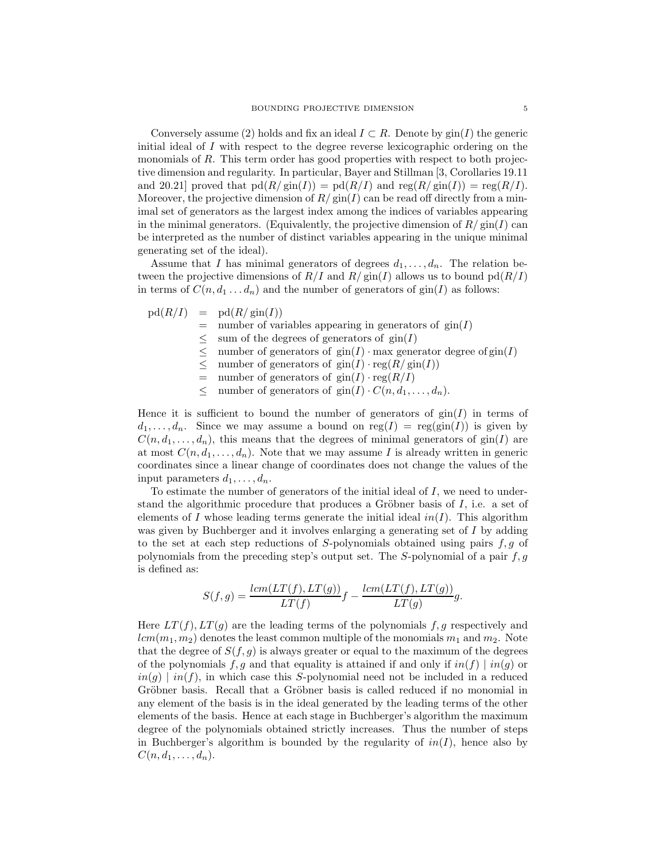Conversely assume (2) holds and fix an ideal  $I \subset R$ . Denote by  $\text{gin}(I)$  the generic initial ideal of I with respect to the degree reverse lexicographic ordering on the monomials of R. This term order has good properties with respect to both projective dimension and regularity. In particular, Bayer and Stillman [3, Corollaries 19.11 and 20.21] proved that  $\text{pd}(R/\text{gin}(I)) = \text{pd}(R/I)$  and  $\text{reg}(R/\text{gin}(I)) = \text{reg}(R/I)$ . Moreover, the projective dimension of  $R/\text{gin}(I)$  can be read off directly from a minimal set of generators as the largest index among the indices of variables appearing in the minimal generators. (Equivalently, the projective dimension of  $R/\text{gin}(I)$  can be interpreted as the number of distinct variables appearing in the unique minimal generating set of the ideal).

Assume that I has minimal generators of degrees  $d_1, \ldots, d_n$ . The relation between the projective dimensions of  $R/I$  and  $R/\text{sin}(I)$  allows us to bound  $\text{pd}(R/I)$ in terms of  $C(n, d_1 \ldots d_n)$  and the number of generators of  $\text{gin}(I)$  as follows:

$$
pd(R/I) = pd(R/gin(I))
$$
  
\n= number of variables appearing in generators of gin(I)  
\n
$$
\leq
$$
 sum of the degrees of generators of gin(I)  
\n
$$
\leq
$$
 number of generators of gin(I) · max generator degree ofgin(I)  
\n
$$
\leq
$$
 number of generators of gin(I) · reg(R/gin(I))  
\n
$$
=
$$
 number of generators of gin(I) · reg(R/I)  
\n
$$
\leq
$$
 number of generators of gin(I) · C(n, d<sub>1</sub>,..., d<sub>n</sub>).

Hence it is sufficient to bound the number of generators of  $\text{gin}(I)$  in terms of  $d_1, \ldots, d_n$ . Since we may assume a bound on reg( $I$ ) = reg( $g$ in( $I$ )) is given by  $C(n, d_1, \ldots, d_n)$ , this means that the degrees of minimal generators of gin(I) are at most  $C(n, d_1, \ldots, d_n)$ . Note that we may assume I is already written in generic coordinates since a linear change of coordinates does not change the values of the input parameters  $d_1, \ldots, d_n$ .

To estimate the number of generators of the initial ideal of  $I$ , we need to understand the algorithmic procedure that produces a Gröbner basis of  $I$ , i.e. a set of elements of I whose leading terms generate the initial ideal  $in(I)$ . This algorithm was given by Buchberger and it involves enlarging a generating set of I by adding to the set at each step reductions of S-polynomials obtained using pairs  $f, g$  of polynomials from the preceding step's output set. The  $S$ -polynomial of a pair  $f, g$ is defined as:

$$
S(f,g) = \frac{lcm(LT(f),LT(g))}{LT(f)}f - \frac{lcm(LT(f),LT(g))}{LT(g)}g.
$$

Here  $LT(f), TT(g)$  are the leading terms of the polynomials f, g respectively and  $lcm(m_1, m_2)$  denotes the least common multiple of the monomials  $m_1$  and  $m_2$ . Note that the degree of  $S(f, g)$  is always greater or equal to the maximum of the degrees of the polynomials f, g and that equality is attained if and only if  $in(f) | in(g)$  or  $in(g)$  |  $in(f)$ , in which case this S-polynomial need not be included in a reduced Gröbner basis. Recall that a Gröbner basis is called reduced if no monomial in any element of the basis is in the ideal generated by the leading terms of the other elements of the basis. Hence at each stage in Buchberger's algorithm the maximum degree of the polynomials obtained strictly increases. Thus the number of steps in Buchberger's algorithm is bounded by the regularity of  $in(I)$ , hence also by  $C(n, d_1, \ldots, d_n).$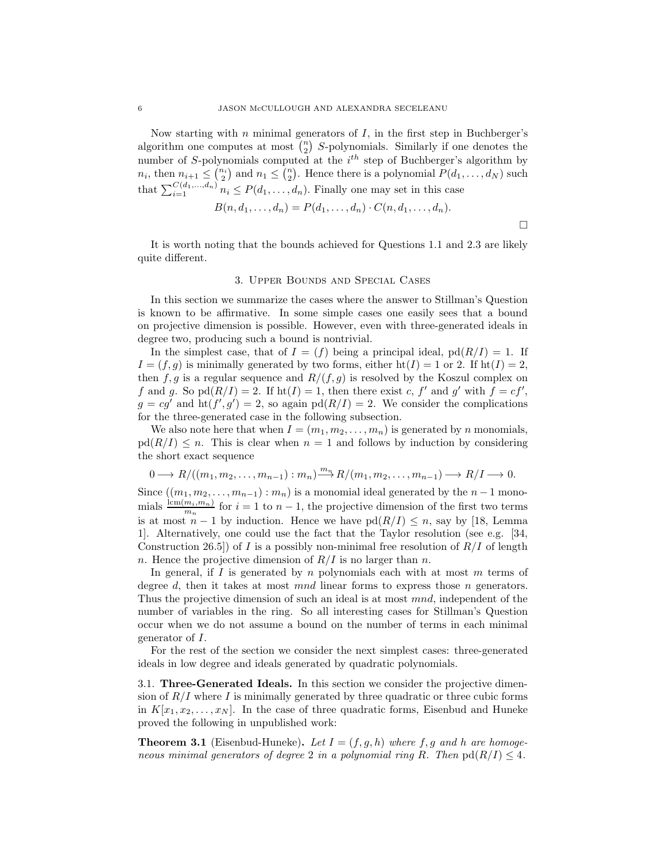Now starting with  $n$  minimal generators of  $I$ , in the first step in Buchberger's algorithm one computes at most  $\binom{n}{2}$  S-polynomials. Similarly if one denotes the number of S-polynomials computed at the  $i<sup>th</sup>$  step of Buchberger's algorithm by  $n_i$ , then  $n_{i+1} \leq {n_i \choose 2}$  and  $n_1 \leq {n \choose 2}$ . Hence there is a polynomial  $P(d_1, \ldots, d_N)$  such that  $\sum_{i=1}^{C(d_1,...,d_n)} n_i \leq P(d_1,...,d_n)$ . Finally one may set in this case

$$
B(n, d_1, \ldots, d_n) = P(d_1, \ldots, d_n) \cdot C(n, d_1, \ldots, d_n).
$$

 $\Box$ 

It is worth noting that the bounds achieved for Questions 1.1 and 2.3 are likely quite different.

### 3. Upper Bounds and Special Cases

In this section we summarize the cases where the answer to Stillman's Question is known to be affirmative. In some simple cases one easily sees that a bound on projective dimension is possible. However, even with three-generated ideals in degree two, producing such a bound is nontrivial.

In the simplest case, that of  $I = (f)$  being a principal ideal,  $pd(R/I) = 1$ . If  $I = (f, g)$  is minimally generated by two forms, either ht(I) = 1 or 2. If ht(I) = 2, then f, g is a regular sequence and  $R/(f, g)$  is resolved by the Koszul complex on f and g. So  $\text{pd}(R/I) = 2$ . If  $\text{ht}(I) = 1$ , then there exist c, f' and g' with  $f = cf'$ ,  $g = cg'$  and  $\text{ht}(f', g') = 2$ , so again  $\text{pd}(R/I) = 2$ . We consider the complications for the three-generated case in the following subsection.

We also note here that when  $I = (m_1, m_2, \ldots, m_n)$  is generated by n monomials,  $pd(R/I) \leq n$ . This is clear when  $n = 1$  and follows by induction by considering the short exact sequence

$$
0 \longrightarrow R/((m_1, m_2, \ldots, m_{n-1}): m_n) \longrightarrow R/(m_1, m_2, \ldots, m_{n-1}) \longrightarrow R/I \longrightarrow 0.
$$

Since  $((m_1, m_2, \ldots, m_{n-1}) : m_n)$  is a monomial ideal generated by the  $n-1$  monomials  $\frac{\text{lcm}(m_i,m_n)}{m_n}$  for  $i=1$  to  $n-1$ , the projective dimension of the first two terms is at most  $n-1$  by induction. Hence we have  $\text{pd}(R/I) \leq n$ , say by [18, Lemma 1]. Alternatively, one could use the fact that the Taylor resolution (see e.g. [34, Construction 26.5) of I is a possibly non-minimal free resolution of  $R/I$  of length n. Hence the projective dimension of  $R/I$  is no larger than n.

In general, if  $I$  is generated by  $n$  polynomials each with at most  $m$  terms of degree  $d$ , then it takes at most  $mnd$  linear forms to express those  $n$  generators. Thus the projective dimension of such an ideal is at most *mnd*, independent of the number of variables in the ring. So all interesting cases for Stillman's Question occur when we do not assume a bound on the number of terms in each minimal generator of I.

For the rest of the section we consider the next simplest cases: three-generated ideals in low degree and ideals generated by quadratic polynomials.

3.1. Three-Generated Ideals. In this section we consider the projective dimension of  $R/I$  where I is minimally generated by three quadratic or three cubic forms in  $K[x_1, x_2, \ldots, x_N]$ . In the case of three quadratic forms, Eisenbud and Huneke proved the following in unpublished work:

**Theorem 3.1** (Eisenbud-Huneke). Let  $I = (f, g, h)$  where f, g and h are homogeneous minimal generators of degree 2 in a polynomial ring R. Then  $pd(R/I) \leq 4$ .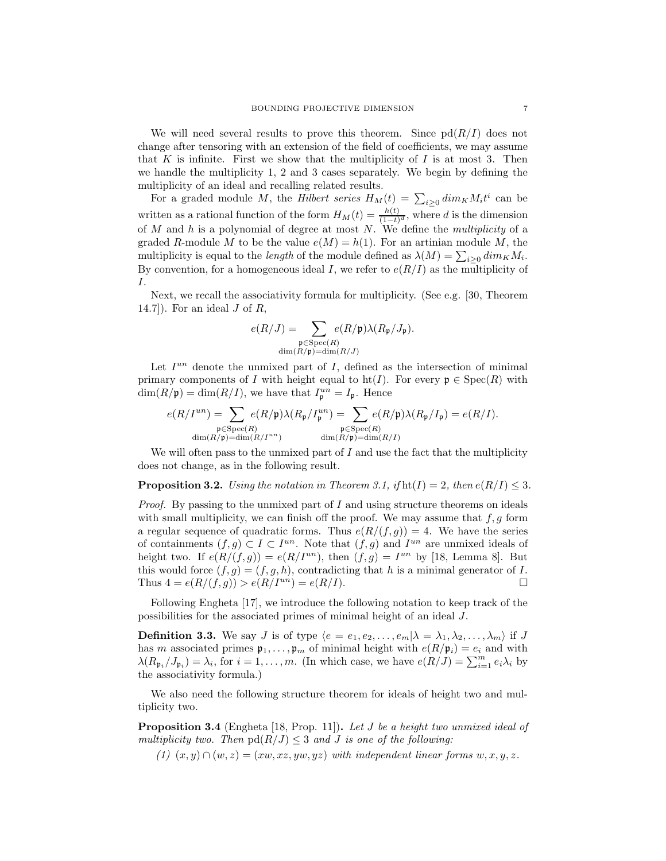We will need several results to prove this theorem. Since  $pd(R/I)$  does not change after tensoring with an extension of the field of coefficients, we may assume that  $K$  is infinite. First we show that the multiplicity of  $I$  is at most 3. Then we handle the multiplicity 1, 2 and 3 cases separately. We begin by defining the multiplicity of an ideal and recalling related results.

For a graded module M, the Hilbert series  $H_M(t) = \sum_{i \geq 0} dim_K M_i t^i$  can be written as a rational function of the form  $H_M(t) = \frac{h(t)}{(1-t)^d}$ , where d is the dimension of  $M$  and  $h$  is a polynomial of degree at most  $N$ . We define the *multiplicity* of a graded R-module M to be the value  $e(M) = h(1)$ . For an artinian module M, the multiplicity is equal to the *length* of the module defined as  $\lambda(M) = \sum_{i \geq 0} dim_K M_i$ . By convention, for a homogeneous ideal I, we refer to  $e(R/I)$  as the multiplicity of I.

Next, we recall the associativity formula for multiplicity. (See e.g. [30, Theorem 14.7). For an ideal  $J$  of  $R$ ,

$$
e(R/J) = \sum_{\substack{\mathfrak{p} \in \text{Spec}(R) \\ \dim(R/\mathfrak{p}) = \dim(R/J)}} e(R/\mathfrak{p}) \lambda(R_{\mathfrak{p}}/J_{\mathfrak{p}}).
$$

Let  $I^{un}$  denote the unmixed part of  $I$ , defined as the intersection of minimal primary components of I with height equal to ht(I). For every  $\mathfrak{p} \in \text{Spec}(R)$  with  $\dim(R/\mathfrak{p}) = \dim(R/I)$ , we have that  $I_{\mathfrak{p}}^{un} = I_{\mathfrak{p}}$ . Hence

$$
e(R/I^{un}) = \sum_{\substack{\mathfrak{p} \in \mathrm{Spec}(R) \\ \dim(R/\mathfrak{p}) = \dim(R/I^{un})}} e(R/\mathfrak{p}) \lambda(R_{\mathfrak{p}}/I^{un}) = \sum_{\substack{\mathfrak{p} \in \mathrm{Spec}(R) \\ \dim(R/\mathfrak{p}) = \dim(R/I)}} e(R/\mathfrak{p}) \lambda(R_{\mathfrak{p}}/I_{\mathfrak{p}}) = e(R/I).
$$

We will often pass to the unmixed part of  $I$  and use the fact that the multiplicity does not change, as in the following result.

**Proposition 3.2.** Using the notation in Theorem 3.1, if  $\text{ht}(I) = 2$ , then  $e(R/I) \leq 3$ .

*Proof.* By passing to the unmixed part of  $I$  and using structure theorems on ideals with small multiplicity, we can finish off the proof. We may assume that  $f, g$  form a regular sequence of quadratic forms. Thus  $e(R/(f,g)) = 4$ . We have the series of containments  $(f, g) \subset I \subset I^{un}$ . Note that  $(f, g)$  and  $I^{un}$  are unmixed ideals of height two. If  $e(R/(f,g)) = e(R/I^{un})$ , then  $(f,g) = I^{un}$  by [18, Lemma 8]. But this would force  $(f, g) = (f, g, h)$ , contradicting that h is a minimal generator of I. Thus  $4 = e(R/(f,g)) > e(R/I^{un}) = e(R/I)$ .

Following Engheta [17], we introduce the following notation to keep track of the possibilities for the associated primes of minimal height of an ideal J.

**Definition 3.3.** We say J is of type  $\langle e = e_1, e_2, \ldots, e_m | \lambda = \lambda_1, \lambda_2, \ldots, \lambda_m \rangle$  if J has m associated primes  $\mathfrak{p}_1, \ldots, \mathfrak{p}_m$  of minimal height with  $e(R/\mathfrak{p}_i) = e_i$  and with  $\lambda(R_{\mathfrak{p}_i}/J_{\mathfrak{p}_i}) = \lambda_i$ , for  $i = 1, \ldots, m$ . (In which case, we have  $e(R/J) = \sum_{i=1}^m e_i \lambda_i$  by the associativity formula.)

We also need the following structure theorem for ideals of height two and multiplicity two.

**Proposition 3.4** (Engheta [18, Prop. 11]). Let J be a height two unmixed ideal of multiplicity two. Then  $\text{pd}(R/J) \leq 3$  and J is one of the following:

(1)  $(x, y) \cap (w, z) = (xw, xz, yw, yz)$  with independent linear forms  $w, x, y, z$ .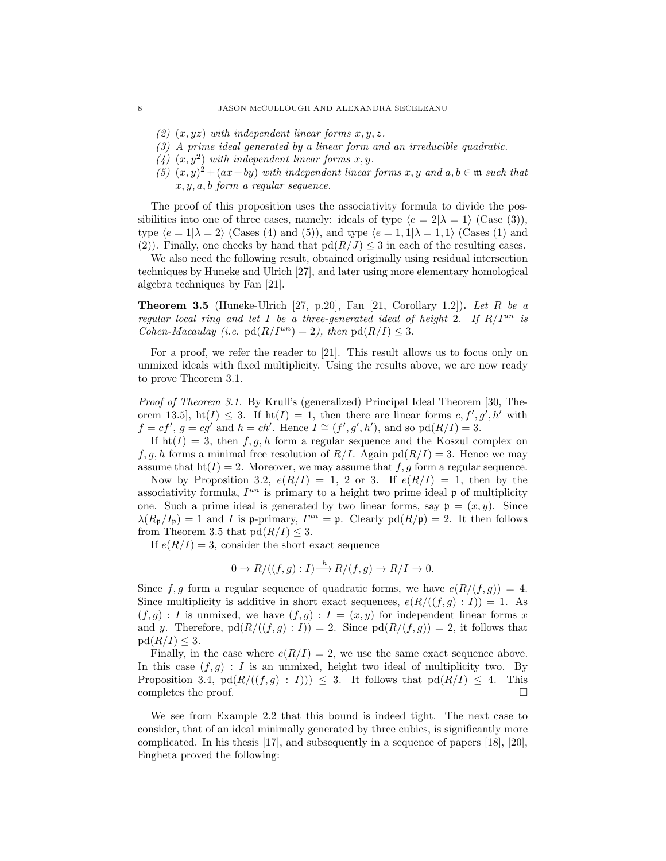- (2)  $(x, yz)$  with independent linear forms  $x, y, z$ .
- (3) A prime ideal generated by a linear form and an irreducible quadratic.
- (4)  $(x, y^2)$  with independent linear forms x, y.
- (5)  $(x, y)^2 + (ax + by)$  with independent linear forms x, y and  $a, b \in \mathfrak{m}$  such that  $x, y, a, b$  form a regular sequence.

The proof of this proposition uses the associativity formula to divide the possibilities into one of three cases, namely: ideals of type  $\langle e = 2 | \lambda = 1 \rangle$  (Case (3)), type  $\langle e = 1 | \lambda = 2 \rangle$  (Cases (4) and (5)), and type  $\langle e = 1, 1 | \lambda = 1, 1 \rangle$  (Cases (1) and (2)). Finally, one checks by hand that  $pd(R/J) \leq 3$  in each of the resulting cases.

We also need the following result, obtained originally using residual intersection techniques by Huneke and Ulrich [27], and later using more elementary homological algebra techniques by Fan [21].

**Theorem 3.5** (Huneke-Ulrich [27, p.20], Fan [21, Corollary 1.2]). Let R be a regular local ring and let I be a three-generated ideal of height 2. If  $R/I^{un}$  is Cohen-Macaulay (i.e.  $\text{pd}(R/I^{un}) = 2$ ), then  $\text{pd}(R/I) \leq 3$ .

For a proof, we refer the reader to [21]. This result allows us to focus only on unmixed ideals with fixed multiplicity. Using the results above, we are now ready to prove Theorem 3.1.

Proof of Theorem 3.1. By Krull's (generalized) Principal Ideal Theorem [30, Theorem 13.5,  $\mathrm{ht}(I) \leq 3$ . If  $\mathrm{ht}(I) = 1$ , then there are linear forms c, f', g', h' with  $f = cf', g = cg'$  and  $h = ch'.$  Hence  $I \cong (f', g', h'),$  and so  $\text{pd}(R/I) = 3.$ 

If  $ht(I) = 3$ , then f, g, h form a regular sequence and the Koszul complex on  $f, g, h$  forms a minimal free resolution of  $R/I$ . Again pd $(R/I) = 3$ . Hence we may assume that  $h(f) = 2$ . Moreover, we may assume that f, g form a regular sequence.

Now by Proposition 3.2,  $e(R/I) = 1$ , 2 or 3. If  $e(R/I) = 1$ , then by the associativity formula,  $I^{un}$  is primary to a height two prime ideal  $\mathfrak p$  of multiplicity one. Such a prime ideal is generated by two linear forms, say  $\mathfrak{p} = (x, y)$ . Since  $\lambda(R_{\mathfrak{p}}/I_{\mathfrak{p}}) = 1$  and I is p-primary,  $I^{un} = \mathfrak{p}$ . Clearly  $\text{pd}(R/\mathfrak{p}) = 2$ . It then follows from Theorem 3.5 that  $pd(R/I) \leq 3$ .

If  $e(R/I) = 3$ , consider the short exact sequence

$$
0 \to R/((f,g):I) \xrightarrow{h} R/(f,g) \to R/I \to 0.
$$

Since f, g form a regular sequence of quadratic forms, we have  $e(R/(f, g)) = 4$ . Since multiplicity is additive in short exact sequences,  $e(R/((f,g):I)) = 1$ . As  $(f, g) : I$  is unmixed, we have  $(f, g) : I = (x, y)$  for independent linear forms x and y. Therefore,  $pd(R/((f,g): I)) = 2$ . Since  $pd(R/(f,g)) = 2$ , it follows that  $pd(R/I) \leq 3.$ 

Finally, in the case where  $e(R/I) = 2$ , we use the same exact sequence above. In this case  $(f, g)$ : I is an unmixed, height two ideal of multiplicity two. By Proposition 3.4,  $pd(R/((f,g): I)) \leq 3$ . It follows that  $pd(R/I) \leq 4$ . This completes the proof. completes the proof.

We see from Example 2.2 that this bound is indeed tight. The next case to consider, that of an ideal minimally generated by three cubics, is significantly more complicated. In his thesis [17], and subsequently in a sequence of papers [18], [20], Engheta proved the following: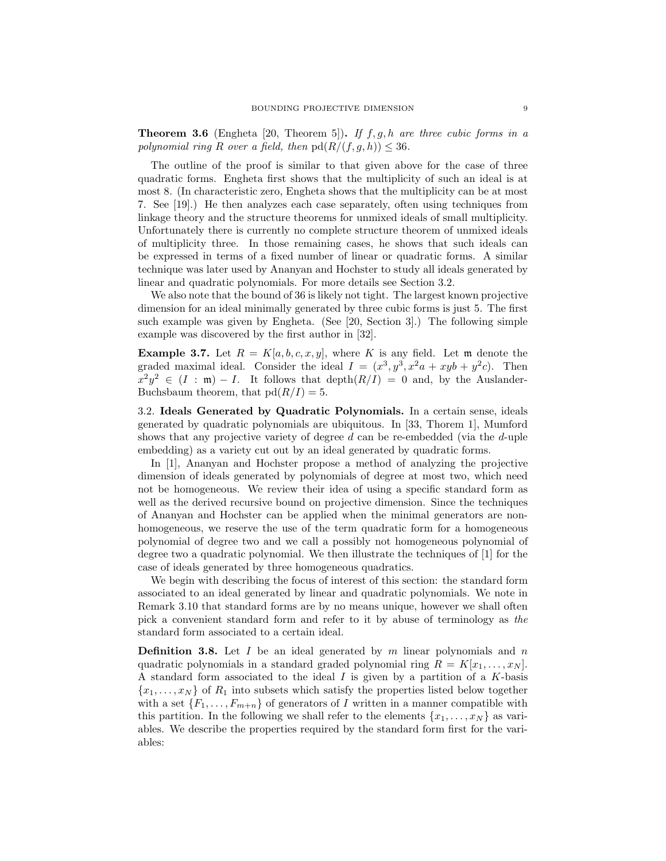**Theorem 3.6** (Engheta [20, Theorem 5]). If f, g, h are three cubic forms in a polynomial ring R over a field, then  $pd(R/(f, g, h)) \leq 36$ .

The outline of the proof is similar to that given above for the case of three quadratic forms. Engheta first shows that the multiplicity of such an ideal is at most 8. (In characteristic zero, Engheta shows that the multiplicity can be at most 7. See [19].) He then analyzes each case separately, often using techniques from linkage theory and the structure theorems for unmixed ideals of small multiplicity. Unfortunately there is currently no complete structure theorem of unmixed ideals of multiplicity three. In those remaining cases, he shows that such ideals can be expressed in terms of a fixed number of linear or quadratic forms. A similar technique was later used by Ananyan and Hochster to study all ideals generated by linear and quadratic polynomials. For more details see Section 3.2.

We also note that the bound of 36 is likely not tight. The largest known projective dimension for an ideal minimally generated by three cubic forms is just 5. The first such example was given by Engheta. (See [20, Section 3].) The following simple example was discovered by the first author in [32].

**Example 3.7.** Let  $R = K[a, b, c, x, y]$ , where K is any field. Let m denote the graded maximal ideal. Consider the ideal  $I = (x^3, y^3, x^2a + xyb + y^2c)$ . Then  $x^2y^2 \in (I : \mathfrak{m}) - I$ . It follows that depth $(R/I) = 0$  and, by the Auslander-Buchsbaum theorem, that  $pd(R/I) = 5$ .

3.2. Ideals Generated by Quadratic Polynomials. In a certain sense, ideals generated by quadratic polynomials are ubiquitous. In [33, Thorem 1], Mumford shows that any projective variety of degree d can be re-embedded (via the d-uple embedding) as a variety cut out by an ideal generated by quadratic forms.

In [1], Ananyan and Hochster propose a method of analyzing the projective dimension of ideals generated by polynomials of degree at most two, which need not be homogeneous. We review their idea of using a specific standard form as well as the derived recursive bound on projective dimension. Since the techniques of Ananyan and Hochster can be applied when the minimal generators are nonhomogeneous, we reserve the use of the term quadratic form for a homogeneous polynomial of degree two and we call a possibly not homogeneous polynomial of degree two a quadratic polynomial. We then illustrate the techniques of [1] for the case of ideals generated by three homogeneous quadratics.

We begin with describing the focus of interest of this section: the standard form associated to an ideal generated by linear and quadratic polynomials. We note in Remark 3.10 that standard forms are by no means unique, however we shall often pick a convenient standard form and refer to it by abuse of terminology as the standard form associated to a certain ideal.

**Definition 3.8.** Let I be an ideal generated by m linear polynomials and n quadratic polynomials in a standard graded polynomial ring  $R = K[x_1, \ldots, x_N]$ . A standard form associated to the ideal  $I$  is given by a partition of a  $K$ -basis  ${x_1, \ldots, x_N}$  of  $R_1$  into subsets which satisfy the properties listed below together with a set  $\{F_1, \ldots, F_{m+n}\}$  of generators of I written in a manner compatible with this partition. In the following we shall refer to the elements  $\{x_1, \ldots, x_N\}$  as variables. We describe the properties required by the standard form first for the variables: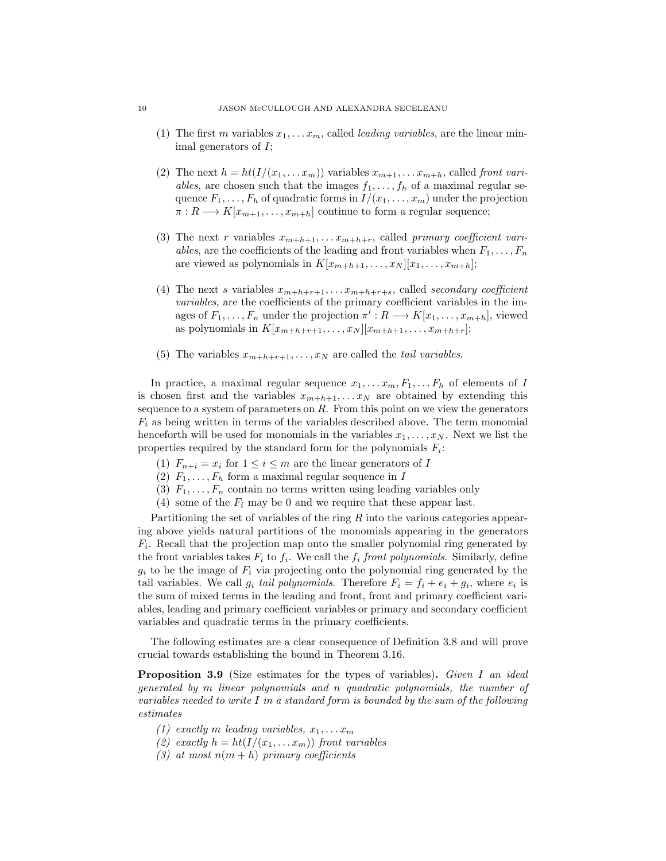- (1) The first m variables  $x_1, \ldots, x_m$ , called *leading variables*, are the linear minimal generators of I;
- (2) The next  $h = ht(I/(x_1, \ldots x_m))$  variables  $x_{m+1}, \ldots x_{m+h}$ , called front variables, are chosen such that the images  $f_1, \ldots, f_h$  of a maximal regular sequence  $F_1, \ldots, F_h$  of quadratic forms in  $I/(x_1, \ldots, x_m)$  under the projection  $\pi: R \longrightarrow K[x_{m+1}, \ldots, x_{m+h}]$  continue to form a regular sequence;
- (3) The next r variables  $x_{m+h+1}, \ldots, x_{m+h+r}$ , called primary coefficient variables, are the coefficients of the leading and front variables when  $F_1, \ldots, F_n$ are viewed as polynomials in  $K[x_{m+h+1}, \ldots, x_N][x_1, \ldots, x_{m+h}];$
- (4) The next s variables  $x_{m+h+r+1}, \ldots, x_{m+h+r+s}$ , called secondary coefficient variables, are the coefficients of the primary coefficient variables in the images of  $F_1, \ldots, F_n$  under the projection  $\pi': R \longrightarrow K[x_1, \ldots, x_{m+h}]$ , viewed as polynomials in  $K[x_{m+h+r+1},...,x_N][x_{m+h+1},...,x_{m+h+r}];$
- (5) The variables  $x_{m+h+r+1}, \ldots, x_N$  are called the *tail variables*.

In practice, a maximal regular sequence  $x_1, \ldots x_m, F_1, \ldots F_h$  of elements of I is chosen first and the variables  $x_{m+h+1}, \ldots, x_N$  are obtained by extending this sequence to a system of parameters on  $R$ . From this point on we view the generators  $F_i$  as being written in terms of the variables described above. The term monomial henceforth will be used for monomials in the variables  $x_1, \ldots, x_N$ . Next we list the properties required by the standard form for the polynomials  $F_i$ :

- (1)  $F_{n+i} = x_i$  for  $1 \leq i \leq m$  are the linear generators of I
- (2)  $F_1, \ldots, F_h$  form a maximal regular sequence in I
- (3)  $F_1, \ldots, F_n$  contain no terms written using leading variables only
- (4) some of the  $F_i$  may be 0 and we require that these appear last.

Partitioning the set of variables of the ring  $R$  into the various categories appearing above yields natural partitions of the monomials appearing in the generators  $F_i$ . Recall that the projection map onto the smaller polynomial ring generated by the front variables takes  $F_i$  to  $f_i$ . We call the  $f_i$  front polynomials. Similarly, define  $g_i$  to be the image of  $F_i$  via projecting onto the polynomial ring generated by the tail variables. We call  $g_i$  tail polynomials. Therefore  $F_i = f_i + e_i + g_i$ , where  $e_i$  is the sum of mixed terms in the leading and front, front and primary coefficient variables, leading and primary coefficient variables or primary and secondary coefficient variables and quadratic terms in the primary coefficients.

The following estimates are a clear consequence of Definition 3.8 and will prove crucial towards establishing the bound in Theorem 3.16.

Proposition 3.9 (Size estimates for the types of variables). Given I an ideal generated by m linear polynomials and n quadratic polynomials, the number of variables needed to write  $I$  in a standard form is bounded by the sum of the following estimates

- (1) exactly m leading variables,  $x_1, \ldots x_m$
- (2) exactly  $h = ht(I/(x_1, \ldots x_m))$  front variables
- (3) at most  $n(m+h)$  primary coefficients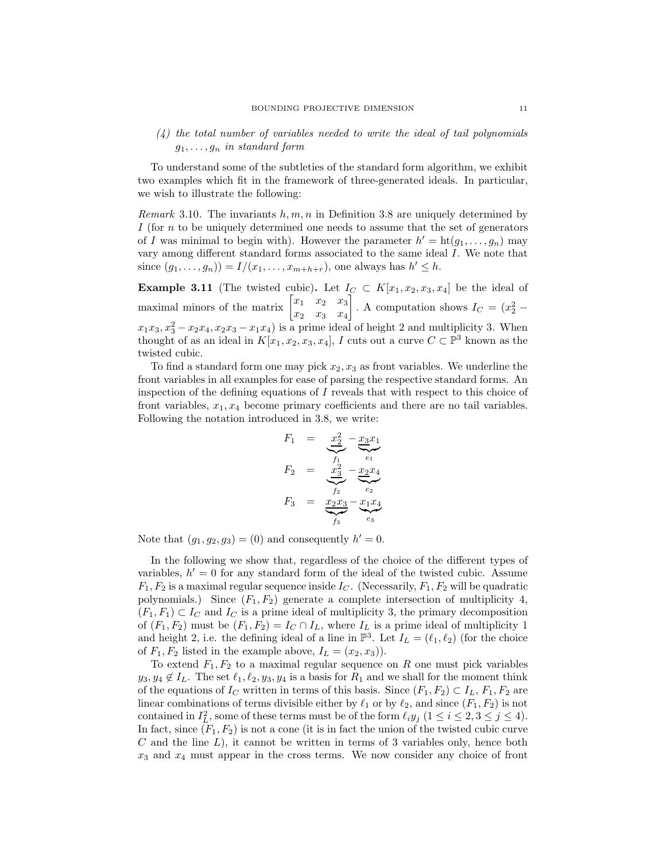(4) the total number of variables needed to write the ideal of tail polynomials  $g_1, \ldots, g_n$  in standard form

To understand some of the subtleties of the standard form algorithm, we exhibit two examples which fit in the framework of three-generated ideals. In particular, we wish to illustrate the following:

Remark 3.10. The invariants  $h, m, n$  in Definition 3.8 are uniquely determined by I (for  $n$  to be uniquely determined one needs to assume that the set of generators of I was minimal to begin with). However the parameter  $h' = ht(g_1, ..., g_n)$  may vary among different standard forms associated to the same ideal I. We note that since  $(g_1, ..., g_n) = I/(x_1, ..., x_{m+h+r})$ , one always has  $h' \leq h$ .

Example 3.11 (The twisted cubic). Let  $I_C \subset K[x_1, x_2, x_3, x_4]$  be the ideal of maximal minors of the matrix  $\begin{bmatrix} x_1 & x_2 & x_3 \\ x_1 & x_2 & x_3 \end{bmatrix}$  $x_2$   $x_3$   $x_4$ . A computation shows  $I_C = (x_2^2$  $x_1x_3, x_3^2 - x_2x_4, x_2x_3 - x_1x_4$  is a prime ideal of height 2 and multiplicity 3. When thought of as an ideal in  $K[x_1, x_2, x_3, x_4]$ , I cuts out a curve  $C \subset \mathbb{P}^3$  known as the twisted cubic.

To find a standard form one may pick  $x_2, x_3$  as front variables. We underline the front variables in all examples for ease of parsing the respective standard forms. An inspection of the defining equations of  $I$  reveals that with respect to this choice of front variables,  $x_1, x_4$  become primary coefficients and there are no tail variables. Following the notation introduced in 3.8, we write:

$$
F_1 = \underbrace{\underbrace{x_2^2}_{f_1} - \underbrace{x_3 x_1}_{e_1}}_{F_2} \\
F_2 = \underbrace{\underbrace{x_3^2}_{f_2} - \underbrace{x_2 x_4}_{e_2}}_{f_3} \\
F_3 = \underbrace{x_2 x_3}_{f_3} - \underbrace{x_1 x_4}_{e_3}
$$

Note that  $(g_1, g_2, g_3) = (0)$  and consequently  $h' = 0$ .

In the following we show that, regardless of the choice of the different types of variables,  $h' = 0$  for any standard form of the ideal of the twisted cubic. Assume  $F_1, F_2$  is a maximal regular sequence inside  $I_C$ . (Necessarily,  $F_1, F_2$  will be quadratic polynomials.) Since  $(F_1, F_2)$  generate a complete intersection of multiplicity 4,  $(F_1, F_1) \subset I_C$  and  $I_C$  is a prime ideal of multiplicity 3, the primary decomposition of  $(F_1, F_2)$  must be  $(F_1, F_2) = I_C \cap I_L$ , where  $I_L$  is a prime ideal of multiplicity 1 and height 2, i.e. the defining ideal of a line in  $\mathbb{P}^3$ . Let  $I_L = (\ell_1, \ell_2)$  (for the choice of  $F_1, F_2$  listed in the example above,  $I_L = (x_2, x_3)$ .

To extend  $F_1, F_2$  to a maximal regular sequence on R one must pick variables  $y_3, y_4 \notin I_L$ . The set  $\ell_1, \ell_2, y_3, y_4$  is a basis for  $R_1$  and we shall for the moment think of the equations of  $I_C$  written in terms of this basis. Since  $(F_1, F_2) \subset I_L$ ,  $F_1, F_2$  are linear combinations of terms divisible either by  $\ell_1$  or by  $\ell_2$ , and since  $(F_1, F_2)$  is not contained in  $I_L^2$ , some of these terms must be of the form  $\ell_i y_j$   $(1 \le i \le 2, 3 \le j \le 4)$ . In fact, since  $(F_1, F_2)$  is not a cone (it is in fact the union of the twisted cubic curve C and the line  $L$ ), it cannot be written in terms of 3 variables only, hence both  $x_3$  and  $x_4$  must appear in the cross terms. We now consider any choice of front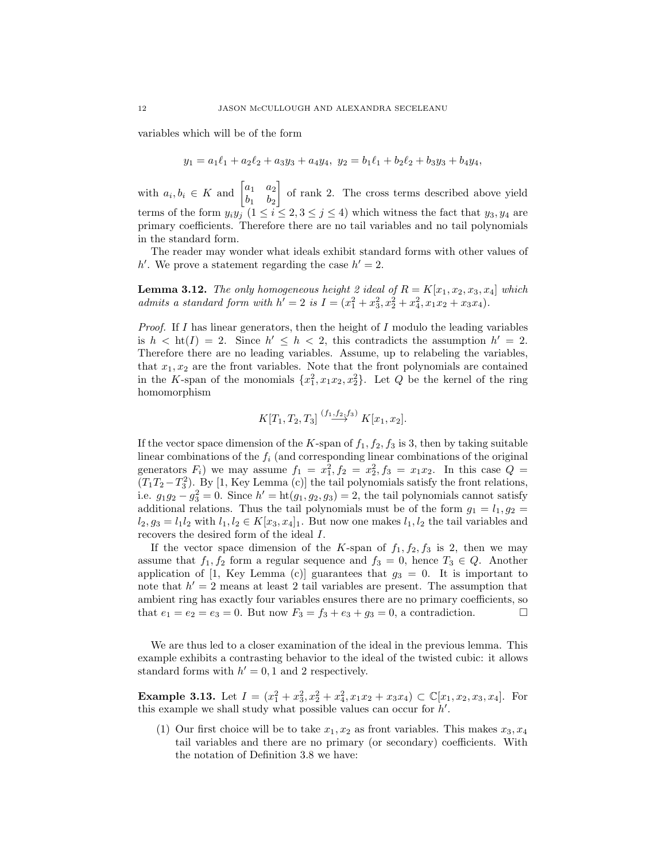variables which will be of the form

$$
y_1 = a_1\ell_1 + a_2\ell_2 + a_3y_3 + a_4y_4, \ y_2 = b_1\ell_1 + b_2\ell_2 + b_3y_3 + b_4y_4,
$$

with  $a_i, b_i \in K$  and  $\begin{bmatrix} a_1 & a_2 \\ b_1 & b_2 \end{bmatrix}$  $b_1$   $b_2$  of rank 2. The cross terms described above yield terms of the form  $y_iy_j (1 \leq i \leq 2, 3 \leq j \leq 4)$  which witness the fact that  $y_3, y_4$  are primary coefficients. Therefore there are no tail variables and no tail polynomials in the standard form.

The reader may wonder what ideals exhibit standard forms with other values of h'. We prove a statement regarding the case  $h' = 2$ .

**Lemma 3.12.** The only homogeneous height 2 ideal of  $R = K[x_1, x_2, x_3, x_4]$  which admits a standard form with  $h' = 2$  is  $I = (x_1^2 + x_3^2, x_2^2 + x_4^2, x_1x_2 + x_3x_4).$ 

*Proof.* If I has linear generators, then the height of I modulo the leading variables is  $h < ht(I) = 2$ . Since  $h' \leq h < 2$ , this contradicts the assumption  $h' = 2$ . Therefore there are no leading variables. Assume, up to relabeling the variables, that  $x_1, x_2$  are the front variables. Note that the front polynomials are contained in the K-span of the monomials  $\{x_1^2, x_1x_2, x_2^2\}$ . Let Q be the kernel of the ring homomorphism

$$
K[T_1, T_2, T_3] \stackrel{(f_1, f_2, f_3)}{\longrightarrow} K[x_1, x_2].
$$

If the vector space dimension of the K-span of  $f_1, f_2, f_3$  is 3, then by taking suitable linear combinations of the  $f_i$  (and corresponding linear combinations of the original generators  $F_i$ ) we may assume  $f_1 = x_1^2, f_2 = x_2^2, f_3 = x_1x_2$ . In this case  $Q =$  $(T_1T_2 - T_3^2)$ . By [1, Key Lemma (c)] the tail polynomials satisfy the front relations, i.e.  $g_1g_2 - g_3^2 = 0$ . Since  $h' = \text{ht}(g_1, g_2, g_3) = 2$ , the tail polynomials cannot satisfy additional relations. Thus the tail polynomials must be of the form  $g_1 = l_1, g_2 =$  $l_2, g_3 = l_1 l_2$  with  $l_1, l_2 \in K[x_3, x_4]_1$ . But now one makes  $l_1, l_2$  the tail variables and recovers the desired form of the ideal I.

If the vector space dimension of the K-span of  $f_1, f_2, f_3$  is 2, then we may assume that  $f_1, f_2$  form a regular sequence and  $f_3 = 0$ , hence  $T_3 \in Q$ . Another application of [1, Key Lemma (c)] guarantees that  $g_3 = 0$ . It is important to note that  $h' = 2$  means at least 2 tail variables are present. The assumption that ambient ring has exactly four variables ensures there are no primary coefficients, so that  $e_1 = e_2 = e_3 = 0$ . But now  $F_3 = f_3 + e_3 + g_3 = 0$ , a contradiction.

We are thus led to a closer examination of the ideal in the previous lemma. This example exhibits a contrasting behavior to the ideal of the twisted cubic: it allows standard forms with  $h' = 0, 1$  and 2 respectively.

Example 3.13. Let  $I = (x_1^2 + x_3^2, x_2^2 + x_4^2, x_1x_2 + x_3x_4) \subset \mathbb{C}[x_1, x_2, x_3, x_4]$ . For this example we shall study what possible values can occur for h ′ .

(1) Our first choice will be to take  $x_1, x_2$  as front variables. This makes  $x_3, x_4$ tail variables and there are no primary (or secondary) coefficients. With the notation of Definition 3.8 we have: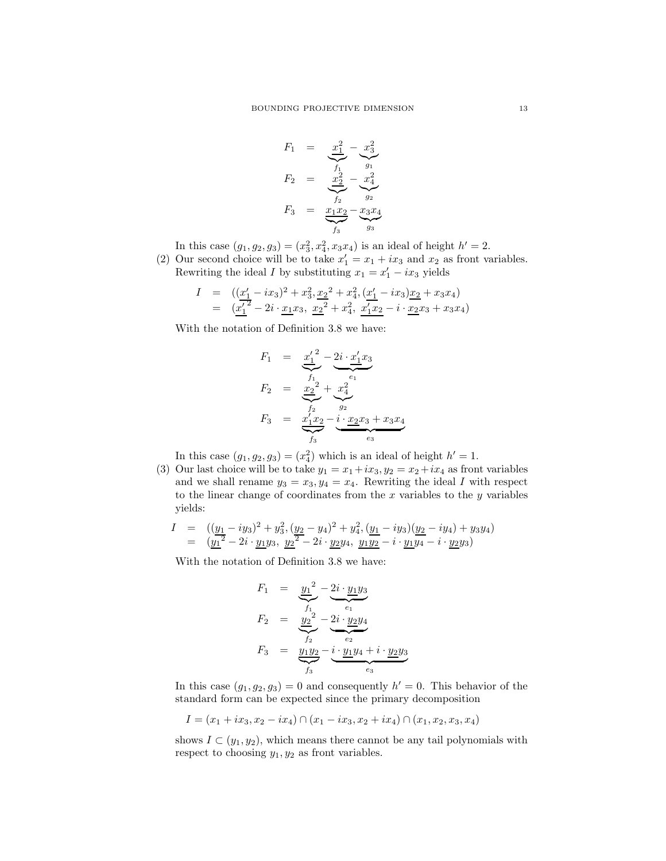$$
F_1 = \underbrace{\frac{x_1^2}{f_1} - \frac{x_3^2}{g_1}}_{f_2} = \underbrace{\frac{x_2^2}{f_2} - \frac{x_4^2}{g_2}}_{f_3} = \underbrace{\frac{x_1 x_2}{f_2} - \frac{x_3 x_4}{g_3}}
$$

In this case  $(g_1, g_2, g_3) = (x_3^2, x_4^2, x_3 x_4)$  is an ideal of height  $h' = 2$ .

(2) Our second choice will be to take  $x'_1 = x_1 + ix_3$  and  $x_2$  as front variables. Rewriting the ideal  $I$  by substituting  $x_1 = x_1' - ix_3$  yields

$$
I = ((\underline{x_1'} - ix_3)^2 + x_3^2, \underline{x_2}^2 + x_4^2, (\underline{x_1'} - ix_3)\underline{x_2} + x_3x_4)
$$
  
= 
$$
(\underline{x_1'}^2 - 2i \cdot \underline{x_1}x_3, \underline{x_2'}^2 + x_4^2, \underline{x_1'x_2} - i \cdot \underline{x_2}x_3 + x_3x_4)
$$

With the notation of Definition 3.8 we have:

$$
F_1 = \underbrace{\underbrace{x_1'}^2}_{f_1} - \underbrace{2i \cdot \underbrace{x_1'}^2}_{e_1} \underbrace{x_2^2}_{e_2} + \underbrace{x_4^2}_{g_2}
$$
\n
$$
F_3 = \underbrace{\underbrace{x_1' x_2}_{f_3} - \underbrace{i \cdot x_2 x_3}_{e_3} + x_3 x_4}_{e_3}
$$

In this case  $(g_1, g_2, g_3) = (x_4^2)$  which is an ideal of height  $h' = 1$ .

(3) Our last choice will be to take  $y_1 = x_1 + ix_3$ ,  $y_2 = x_2 + ix_4$  as front variables and we shall rename  $y_3 = x_3, y_4 = x_4$ . Rewriting the ideal I with respect to the linear change of coordinates from the  $x$  variables to the  $y$  variables yields:

$$
I = \left( \underbrace{(y_1 - iy_3)^2 + y_3^2}, \underbrace{(y_2 - y_4)^2 + y_4^2}, \underbrace{(y_1 - iy_3)(y_2 - iy_4)} + y_3y_4 \right) = \left( \underbrace{y_1^2 - 2i \cdot y_1 y_3}, \underbrace{y_2^2 - 2i \cdot y_2 y_4}, \underbrace{y_1 y_2 - i \cdot y_1 y_4 - i \cdot y_2 y_3} \right)
$$

With the notation of Definition 3.8 we have:

$$
F_1 = \underbrace{y_1^2}_{f_1} - \underbrace{2i \cdot y_1 y_3}_{e_1}
$$
\n
$$
F_2 = \underbrace{y_2^2}_{f_2} - \underbrace{2i \cdot y_2 y_4}_{e_2}
$$
\n
$$
F_3 = \underbrace{y_1 y_2}_{f_3} - \underbrace{i \cdot y_1 y_4 + i \cdot y_2 y_3}_{e_3}
$$

In this case  $(g_1, g_2, g_3) = 0$  and consequently  $h' = 0$ . This behavior of the standard form can be expected since the primary decomposition

$$
I = (x_1 + ix_3, x_2 - ix_4) \cap (x_1 - ix_3, x_2 + ix_4) \cap (x_1, x_2, x_3, x_4)
$$

shows  $I \subset (y_1, y_2)$ , which means there cannot be any tail polynomials with respect to choosing  $y_1, y_2$  as front variables.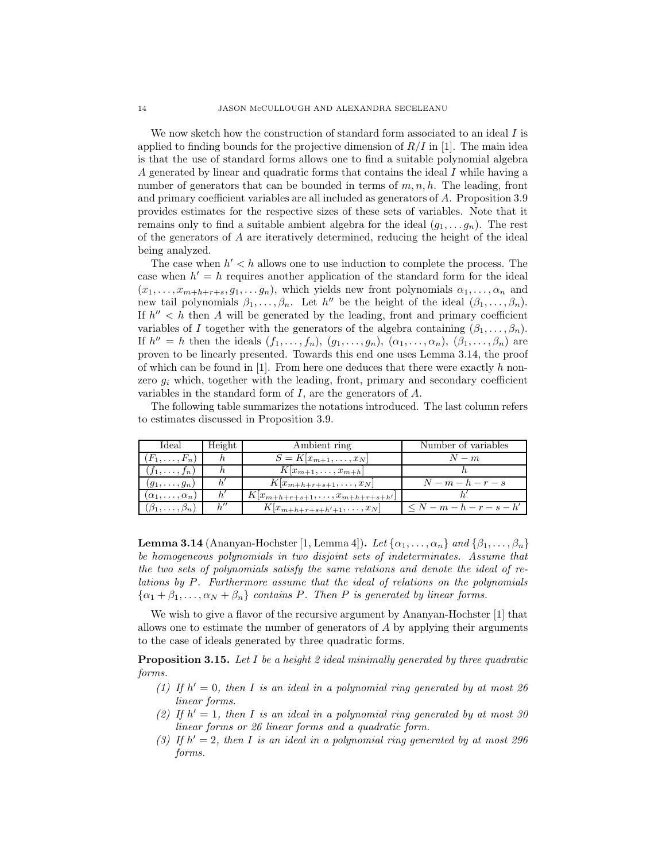We now sketch how the construction of standard form associated to an ideal  $I$  is applied to finding bounds for the projective dimension of  $R/I$  in [1]. The main idea is that the use of standard forms allows one to find a suitable polynomial algebra A generated by linear and quadratic forms that contains the ideal I while having a number of generators that can be bounded in terms of  $m, n, h$ . The leading, front and primary coefficient variables are all included as generators of A. Proposition 3.9 provides estimates for the respective sizes of these sets of variables. Note that it remains only to find a suitable ambient algebra for the ideal  $(g_1, \ldots, g_n)$ . The rest of the generators of A are iteratively determined, reducing the height of the ideal being analyzed.

The case when  $h' < h$  allows one to use induction to complete the process. The case when  $h' = h$  requires another application of the standard form for the ideal  $(x_1, \ldots, x_{m+h+r+s}, g_1, \ldots, g_n)$ , which yields new front polynomials  $\alpha_1, \ldots, \alpha_n$  and new tail polynomials  $\beta_1, \ldots, \beta_n$ . Let  $h''$  be the height of the ideal  $(\beta_1, \ldots, \beta_n)$ . If  $h'' < h$  then A will be generated by the leading, front and primary coefficient variables of I together with the generators of the algebra containing  $(\beta_1, \ldots, \beta_n)$ . If  $h'' = h$  then the ideals  $(f_1, \ldots, f_n)$ ,  $(g_1, \ldots, g_n)$ ,  $(\alpha_1, \ldots, \alpha_n)$ ,  $(\beta_1, \ldots, \beta_n)$  are proven to be linearly presented. Towards this end one uses Lemma 3.14, the proof of which can be found in  $[1]$ . From here one deduces that there were exactly h nonzero  $g_i$  which, together with the leading, front, primary and secondary coefficient variables in the standard form of I, are the generators of A.

The following table summarizes the notations introduced. The last column refers to estimates discussed in Proposition 3.9.

| Ideal                        | Height             | Ambient ring                       | Number of variables |
|------------------------------|--------------------|------------------------------------|---------------------|
| $(F_1,\ldots,F_n)$           |                    | $S = K[x_{m+1},,x_N]$              | $N-m$               |
| $(f_1,\ldots,f_n)$           |                    | $K[x_{m+1},,x_{m+h}]$              |                     |
| $(g_1,\ldots,g_n)$           |                    | $K[x_{m+h+r+s+1},,x_N]$            | $N-m-h-r-s$         |
| $(\alpha_1,\ldots,\alpha_n)$ |                    | $K[x_{m+h+r+s+1},,x_{m+h+r+s+h'}]$ |                     |
| $(\beta_1,\ldots,\beta_n)$   | $h^{\prime\prime}$ | $K[x_{m+h+r+s+h'+1},\ldots,x_N]$   | $\leq N-m-h-r-s-h'$ |

**Lemma 3.14** (Ananyan-Hochster [1, Lemma 4]). Let  $\{\alpha_1, \ldots, \alpha_n\}$  and  $\{\beta_1, \ldots, \beta_n\}$ be homogeneous polynomials in two disjoint sets of indeterminates. Assume that the two sets of polynomials satisfy the same relations and denote the ideal of relations by P. Furthermore assume that the ideal of relations on the polynomials  $\{\alpha_1 + \beta_1, \ldots, \alpha_N + \beta_n\}$  contains P. Then P is generated by linear forms.

We wish to give a flavor of the recursive argument by Ananyan-Hochster [1] that allows one to estimate the number of generators of A by applying their arguments to the case of ideals generated by three quadratic forms.

**Proposition 3.15.** Let I be a height 2 ideal minimally generated by three quadratic forms.

- (1) If  $h' = 0$ , then I is an ideal in a polynomial ring generated by at most 26 linear forms.
- (2) If  $h' = 1$ , then I is an ideal in a polynomial ring generated by at most 30 linear forms or 26 linear forms and a quadratic form.
- (3) If  $h' = 2$ , then I is an ideal in a polynomial ring generated by at most 296 forms.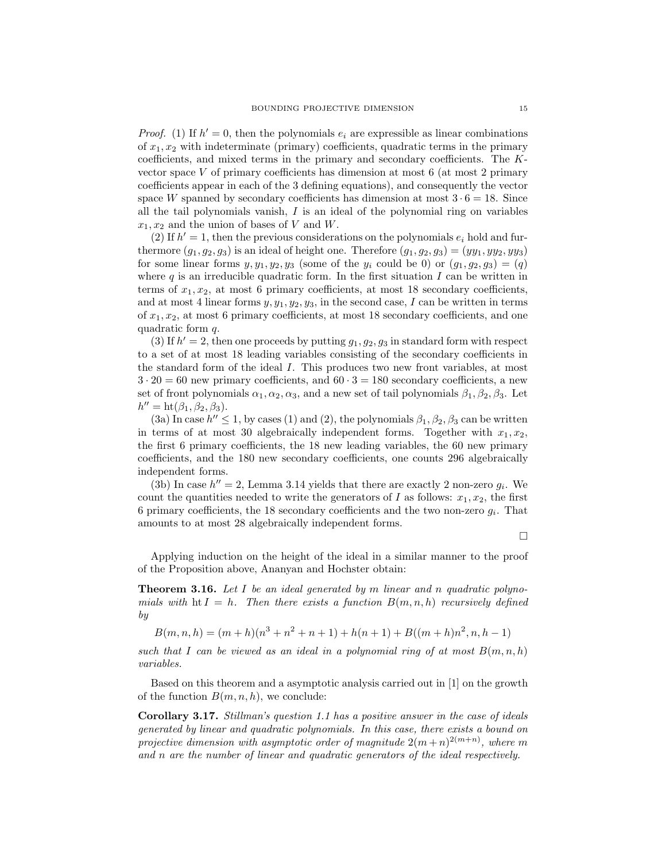*Proof.* (1) If  $h' = 0$ , then the polynomials  $e_i$  are expressible as linear combinations of  $x_1, x_2$  with indeterminate (primary) coefficients, quadratic terms in the primary coefficients, and mixed terms in the primary and secondary coefficients. The Kvector space  $V$  of primary coefficients has dimension at most  $6$  (at most  $2$  primary coefficients appear in each of the 3 defining equations), and consequently the vector space W spanned by secondary coefficients has dimension at most  $3 \cdot 6 = 18$ . Since all the tail polynomials vanish,  $I$  is an ideal of the polynomial ring on variables  $x_1, x_2$  and the union of bases of V and W.

(2) If  $h' = 1$ , then the previous considerations on the polynomials  $e_i$  hold and furthermore  $(g_1, g_2, g_3)$  is an ideal of height one. Therefore  $(g_1, g_2, g_3) = (yy_1, yy_2, yy_3)$ for some linear forms  $y, y_1, y_2, y_3$  (some of the  $y_i$  could be 0) or  $(g_1, g_2, g_3) = (q)$ where  $q$  is an irreducible quadratic form. In the first situation  $I$  can be written in terms of  $x_1, x_2$ , at most 6 primary coefficients, at most 18 secondary coefficients, and at most 4 linear forms  $y, y_1, y_2, y_3$ , in the second case, I can be written in terms of  $x_1, x_2$ , at most 6 primary coefficients, at most 18 secondary coefficients, and one quadratic form q.

(3) If  $h' = 2$ , then one proceeds by putting  $g_1, g_2, g_3$  in standard form with respect to a set of at most 18 leading variables consisting of the secondary coefficients in the standard form of the ideal I. This produces two new front variables, at most  $3 \cdot 20 = 60$  new primary coefficients, and  $60 \cdot 3 = 180$  secondary coefficients, a new set of front polynomials  $\alpha_1, \alpha_2, \alpha_3$ , and a new set of tail polynomials  $\beta_1, \beta_2, \beta_3$ . Let  $h'' = \mathrm{ht}(\beta_1, \beta_2, \beta_3).$ 

(3a) In case  $h'' \leq 1$ , by cases (1) and (2), the polynomials  $\beta_1, \beta_2, \beta_3$  can be written in terms of at most 30 algebraically independent forms. Together with  $x_1, x_2$ , the first 6 primary coefficients, the 18 new leading variables, the 60 new primary coefficients, and the 180 new secondary coefficients, one counts 296 algebraically independent forms.

(3b) In case  $h'' = 2$ , Lemma 3.14 yields that there are exactly 2 non-zero  $g_i$ . We count the quantities needed to write the generators of I as follows:  $x_1, x_2$ , the first 6 primary coefficients, the 18 secondary coefficients and the two non-zero  $g_i$ . That amounts to at most 28 algebraically independent forms.

 $\Box$ 

Applying induction on the height of the ideal in a similar manner to the proof of the Proposition above, Ananyan and Hochster obtain:

**Theorem 3.16.** Let I be an ideal generated by m linear and n quadratic polynomials with  $\text{ht } I = h$ . Then there exists a function  $B(m, n, h)$  recursively defined by

 $B(m, n, h) = (m+h)(n^3 + n^2 + n + 1) + h(n+1) + B((m+h)n^2, n, h-1)$ 

such that I can be viewed as an ideal in a polynomial ring of at most  $B(m, n, h)$ variables.

Based on this theorem and a asymptotic analysis carried out in [1] on the growth of the function  $B(m, n, h)$ , we conclude:

Corollary 3.17. Stillman's question 1.1 has a positive answer in the case of ideals generated by linear and quadratic polynomials. In this case, there exists a bound on projective dimension with asymptotic order of magnitude  $2(m+n)^{2(m+n)}$ , where m and n are the number of linear and quadratic generators of the ideal respectively.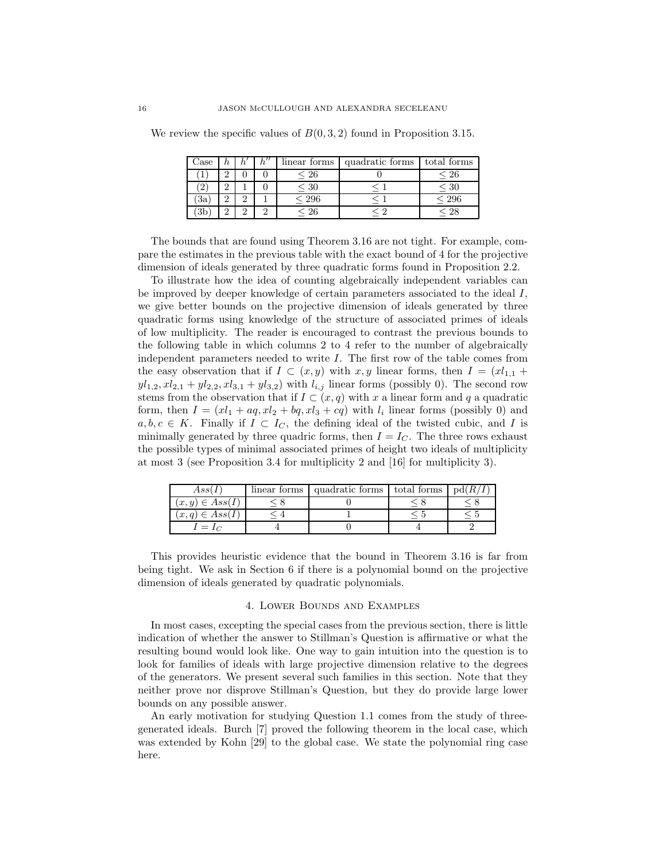| Case | h. |          | $h^{\prime\prime}$ | linear forms               | quadratic forms | total forms                |
|------|----|----------|--------------------|----------------------------|-----------------|----------------------------|
|      | ົ  |          |                    | $\degree{26}$              |                 | $\stackrel{<}{_{\sim}} 26$ |
|      | ົ  |          |                    | $\stackrel{<}{_{\sim}} 30$ |                 | $\stackrel{<}{_{\sim}} 30$ |
| За   |    | റ        |                    | $\leq 296$                 |                 | $\leq 296$                 |
| 3b   | ົ  | $\Omega$ |                    |                            |                 |                            |

We review the specific values of  $B(0, 3, 2)$  found in Proposition 3.15.

The bounds that are found using Theorem 3.16 are not tight. For example, compare the estimates in the previous table with the exact bound of 4 for the projective dimension of ideals generated by three quadratic forms found in Proposition 2.2.

To illustrate how the idea of counting algebraically independent variables can be improved by deeper knowledge of certain parameters associated to the ideal I, we give better bounds on the projective dimension of ideals generated by three quadratic forms using knowledge of the structure of associated primes of ideals of low multiplicity. The reader is encouraged to contrast the previous bounds to the following table in which columns 2 to 4 refer to the number of algebraically independent parameters needed to write I. The first row of the table comes from the easy observation that if  $I \subset (x, y)$  with  $x, y$  linear forms, then  $I = (xI_{1,1} +$  $yl_{1,2}, xl_{2,1} + yl_{2,2}, xl_{3,1} + yl_{3,2})$  with  $l_{i,j}$  linear forms (possibly 0). The second row stems from the observation that if  $I \subset (x, q)$  with x a linear form and q a quadratic form, then  $I = (xl_1 + aq, xl_2 + bq, xl_3 + cq)$  with  $l_i$  linear forms (possibly 0) and  $a, b, c \in K$ . Finally if  $I \subset I_C$ , the defining ideal of the twisted cubic, and I is minimally generated by three quadric forms, then  $I = I<sub>C</sub>$ . The three rows exhaust the possible types of minimal associated primes of height two ideals of multiplicity at most 3 (see Proposition 3.4 for multiplicity 2 and [16] for multiplicity 3).

| Ass(I)              | linear forms quadratic forms total forms $\lceil \text{pd}(R/I) \rceil$ |  |
|---------------------|-------------------------------------------------------------------------|--|
| $(x,y) \in Ass(I)$  |                                                                         |  |
| $(x, q) \in Ass(I)$ |                                                                         |  |
| $I = I_{C}$         |                                                                         |  |

This provides heuristic evidence that the bound in Theorem 3.16 is far from being tight. We ask in Section 6 if there is a polynomial bound on the projective dimension of ideals generated by quadratic polynomials.

#### 4. Lower Bounds and Examples

In most cases, excepting the special cases from the previous section, there is little indication of whether the answer to Stillman's Question is affirmative or what the resulting bound would look like. One way to gain intuition into the question is to look for families of ideals with large projective dimension relative to the degrees of the generators. We present several such families in this section. Note that they neither prove nor disprove Stillman's Question, but they do provide large lower bounds on any possible answer.

An early motivation for studying Question 1.1 comes from the study of threegenerated ideals. Burch [7] proved the following theorem in the local case, which was extended by Kohn [29] to the global case. We state the polynomial ring case here.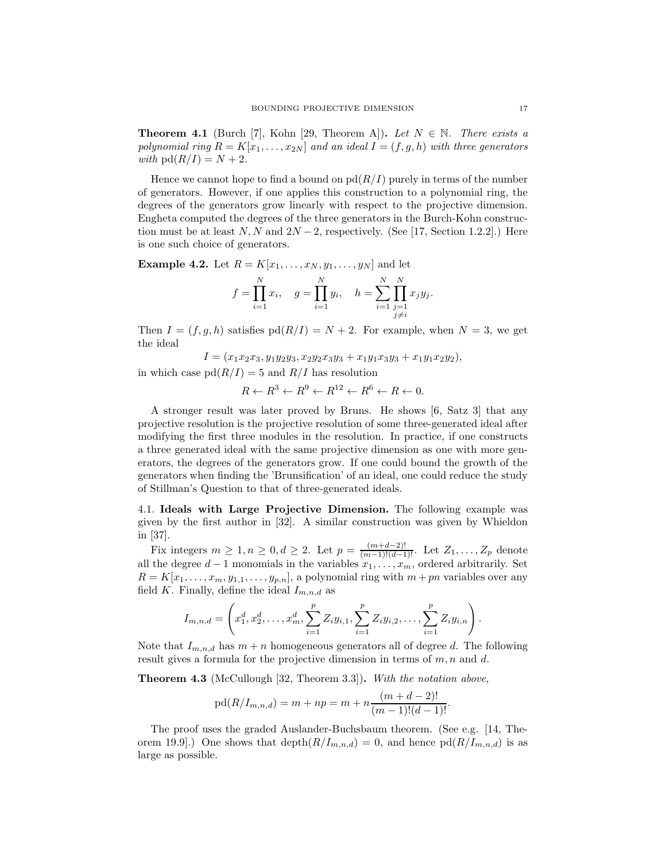**Theorem 4.1** (Burch [7], Kohn [29, Theorem A]). Let  $N \in \mathbb{N}$ . There exists a polynomial ring  $R = K[x_1, \ldots, x_{2N}]$  and an ideal  $I = (f, g, h)$  with three generators with  $\text{pd}(R/I) = N + 2$ .

Hence we cannot hope to find a bound on  $pd(R/I)$  purely in terms of the number of generators. However, if one applies this construction to a polynomial ring, the degrees of the generators grow linearly with respect to the projective dimension. Engheta computed the degrees of the three generators in the Burch-Kohn construction must be at least  $N, N$  and  $2N - 2$ , respectively. (See [17, Section 1.2.2].) Here is one such choice of generators.

**Example 4.2.** Let  $R = K[x_1, \ldots, x_N, y_1, \ldots, y_N]$  and let

$$
f = \prod_{i=1}^{N} x_i
$$
,  $g = \prod_{i=1}^{N} y_i$ ,  $h = \sum_{i=1}^{N} \prod_{\substack{j=1 \ j \neq i}}^{N} x_j y_j$ .

Then  $I = (f, g, h)$  satisfies  $pd(R/I) = N + 2$ . For example, when  $N = 3$ , we get the ideal

 $I = (x_1x_2x_3, y_1y_2y_3, x_2y_2x_3y_3 + x_1y_1x_3y_3 + x_1y_1x_2y_2),$ 

in which case  $\text{pd}(R/I) = 5$  and  $R/I$  has resolution

$$
R \leftarrow R^3 \leftarrow R^9 \leftarrow R^{12} \leftarrow R^6 \leftarrow R \leftarrow 0.
$$

A stronger result was later proved by Bruns. He shows [6, Satz 3] that any projective resolution is the projective resolution of some three-generated ideal after modifying the first three modules in the resolution. In practice, if one constructs a three generated ideal with the same projective dimension as one with more generators, the degrees of the generators grow. If one could bound the growth of the generators when finding the 'Brunsification' of an ideal, one could reduce the study of Stillman's Question to that of three-generated ideals.

4.1. Ideals with Large Projective Dimension. The following example was given by the first author in [32]. A similar construction was given by Whieldon in [37].

Fix integers  $m \geq 1, n \geq 0, d \geq 2$ . Let  $p = \frac{(m+d-2)!}{(m-1)!(d-1)!}$ . Let  $Z_1, \ldots, Z_p$  denote all the degree  $d-1$  monomials in the variables  $x_1, \ldots, x_m$ , ordered arbitrarily. Set  $R = K[x_1, \ldots, x_m, y_{1,1}, \ldots, y_{p,n}]$ , a polynomial ring with  $m + pn$  variables over any field K. Finally, define the ideal  $I_{m,n,d}$  as

$$
I_{m,n,d} = \left(x_1^d, x_2^d, \dots, x_m^d, \sum_{i=1}^p Z_i y_{i,1}, \sum_{i=1}^p Z_i y_{i,2}, \dots, \sum_{i=1}^p Z_i y_{i,n}\right).
$$

Note that  $I_{m,n,d}$  has  $m+n$  homogeneous generators all of degree d. The following result gives a formula for the projective dimension in terms of  $m, n$  and  $d$ .

**Theorem 4.3** (McCullough [32, Theorem 3.3]). With the notation above,

$$
pd(R/I_{m,n,d}) = m + np = m + n \frac{(m+d-2)!}{(m-1)!(d-1)!}.
$$

The proof uses the graded Auslander-Buchsbaum theorem. (See e.g. [14, Theorem 19.9].) One shows that depth $(R/I_{m,n,d})=0$ , and hence  $pd(R/I_{m,n,d})$  is as large as possible.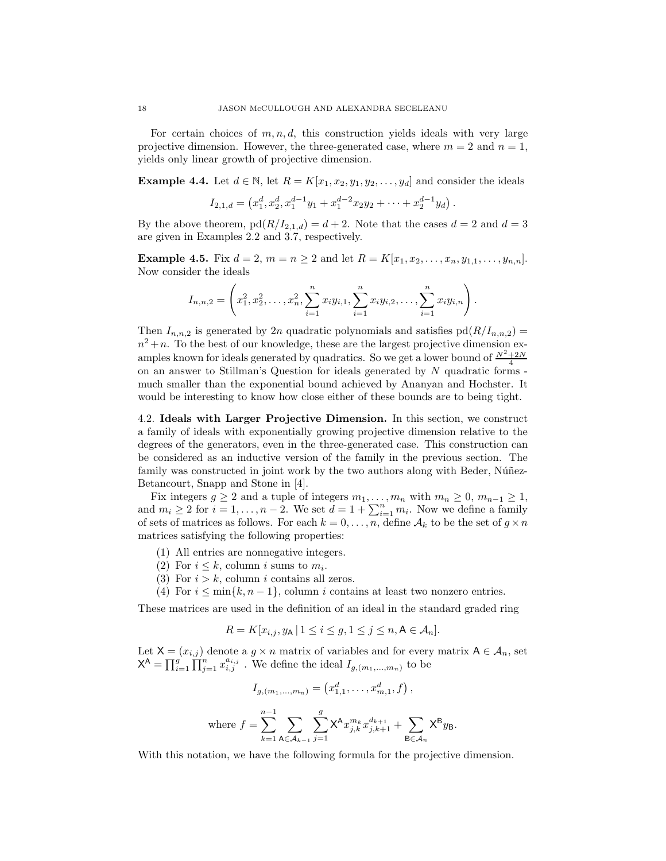For certain choices of  $m, n, d$ , this construction yields ideals with very large projective dimension. However, the three-generated case, where  $m = 2$  and  $n = 1$ , yields only linear growth of projective dimension.

**Example 4.4.** Let  $d \in \mathbb{N}$ , let  $R = K[x_1, x_2, y_1, y_2, \dots, y_d]$  and consider the ideals

$$
I_{2,1,d} = \left(x_1^d, x_2^d, x_1^{d-1}y_1 + x_1^{d-2}x_2y_2 + \cdots + x_2^{d-1}y_d\right).
$$

By the above theorem,  $\text{pd}(R/I_{2,1,d}) = d+2$ . Note that the cases  $d = 2$  and  $d = 3$ are given in Examples 2.2 and 3.7, respectively.

**Example 4.5.** Fix  $d = 2$ ,  $m = n \geq 2$  and let  $R = K[x_1, x_2, \ldots, x_n, y_{1,1}, \ldots, y_{n,n}]$ . Now consider the ideals

$$
I_{n,n,2} = \left(x_1^2, x_2^2, \dots, x_n^2, \sum_{i=1}^n x_i y_{i,1}, \sum_{i=1}^n x_i y_{i,2}, \dots, \sum_{i=1}^n x_i y_{i,n}\right).
$$

Then  $I_{n,n,2}$  is generated by 2n quadratic polynomials and satisfies  $pd(R/I_{n,n,2}) =$  $n^2 + n$ . To the best of our knowledge, these are the largest projective dimension examples known for ideals generated by quadratics. So we get a lower bound of  $\frac{N^2 + 2N}{4}$ on an answer to Stillman's Question for ideals generated by  $N$  quadratic forms much smaller than the exponential bound achieved by Ananyan and Hochster. It would be interesting to know how close either of these bounds are to being tight.

4.2. Ideals with Larger Projective Dimension. In this section, we construct a family of ideals with exponentially growing projective dimension relative to the degrees of the generators, even in the three-generated case. This construction can be considered as an inductive version of the family in the previous section. The family was constructed in joint work by the two authors along with Beder, Núñez-Betancourt, Snapp and Stone in [4].

Fix integers  $g \ge 2$  and a tuple of integers  $m_1, \ldots, m_n$  with  $m_n \ge 0, m_{n-1} \ge 1$ , and  $m_i \geq 2$  for  $i = 1, ..., n-2$ . We set  $d = 1 + \sum_{i=1}^{n} m_i$ . Now we define a family of sets of matrices as follows. For each  $k = 0, \ldots, n$ , define  $A_k$  to be the set of  $q \times n$ matrices satisfying the following properties:

- (1) All entries are nonnegative integers.
- (2) For  $i \leq k$ , column i sums to  $m_i$ .
- (3) For  $i > k$ , column i contains all zeros.
- (4) For  $i \leq \min\{k, n-1\}$ , column i contains at least two nonzero entries.

These matrices are used in the definition of an ideal in the standard graded ring

$$
R=K[x_{i,j},y_{\mathsf{A}}\,|\, 1\leq i\leq g, 1\leq j\leq n, \mathsf{A}\in\mathcal{A}_n].
$$

Let  $X = (x_{i,j})$  denote a  $g \times n$  matrix of variables and for every matrix  $A \in \mathcal{A}_n$ , set  $\mathsf{X}^{\mathsf{A}} = \prod_{i=1}^{g} \prod_{j=1}^{n} x_{i,j}^{a_{i,j}}$ . We define the ideal  $I_{g,(m_1,...,m_n)}$  to be

$$
I_{g,(m_1,...,m_n)} = (x_{1,1}^d, \ldots, x_{m,1}^d, f),
$$

where 
$$
f = \sum_{k=1}^{n-1} \sum_{A \in \mathcal{A}_{k-1}} \sum_{j=1}^{g} X^A x_{j,k}^{m_k} x_{j,k+1}^{d_{k+1}} + \sum_{B \in \mathcal{A}_n} X^B y_B.
$$

With this notation, we have the following formula for the projective dimension.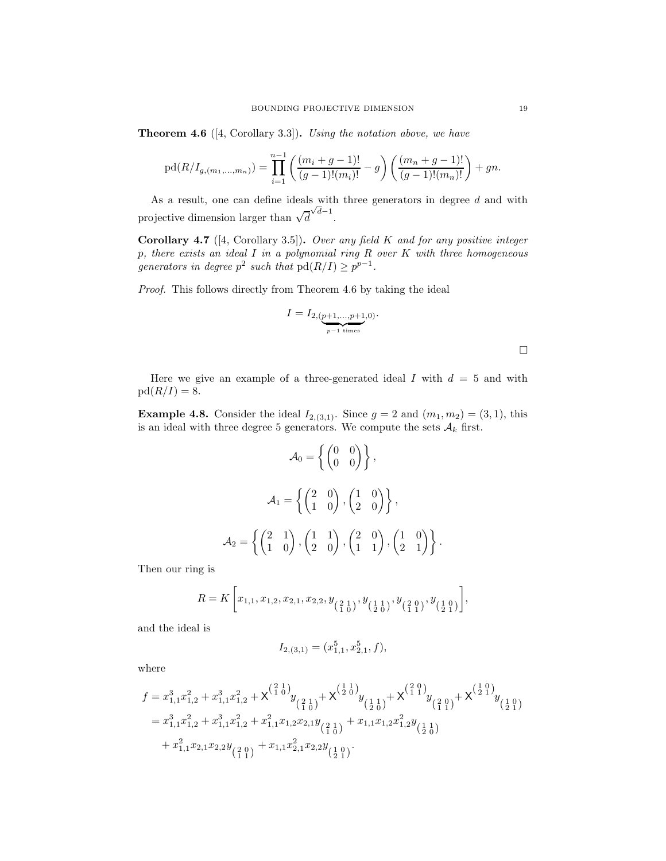**Theorem 4.6** ([4, Corollary 3.3]). Using the notation above, we have

$$
\mathrm{pd}(R/I_{g,(m_1,\ldots,m_n)}) = \prod_{i=1}^{n-1} \left( \frac{(m_i+g-1)!}{(g-1)!(m_i)!} - g \right) \left( \frac{(m_n+g-1)!}{(g-1)!(m_n)!} \right) + gn.
$$

As a result, one can define ideals with three generators in degree  $d$  and with projective dimension larger than  $\sqrt{d}$  $\sqrt{d}-1$ .

**Corollary 4.7** ([4, Corollary 3.5]). Over any field  $K$  and for any positive integer  $p$ , there exists an ideal  $I$  in a polynomial ring  $R$  over  $K$  with three homogeneous generators in degree  $p^2$  such that  $pd(R/I) \geq p^{p-1}$ .

Proof. This follows directly from Theorem 4.6 by taking the ideal

$$
I = I_{2,(\underbrace{p+1,\ldots,p+1}_{p-1 \text{ times}},0)}.
$$

Here we give an example of a three-generated ideal I with  $d = 5$  and with  $pd(R/I) = 8.$ 

**Example 4.8.** Consider the ideal  $I_{2,(3,1)}$ . Since  $g = 2$  and  $(m_1, m_2) = (3, 1)$ , this is an ideal with three degree 5 generators. We compute the sets  $\mathcal{A}_k$  first.

$$
\mathcal{A}_0 = \left\{ \begin{pmatrix} 0 & 0 \\ 0 & 0 \end{pmatrix} \right\},
$$

$$
\mathcal{A}_1 = \left\{ \begin{pmatrix} 2 & 0 \\ 1 & 0 \end{pmatrix}, \begin{pmatrix} 1 & 0 \\ 2 & 0 \end{pmatrix} \right\},
$$

$$
\mathcal{A}_2 = \left\{ \begin{pmatrix} 2 & 1 \\ 1 & 0 \end{pmatrix}, \begin{pmatrix} 1 & 1 \\ 2 & 0 \end{pmatrix}, \begin{pmatrix} 2 & 0 \\ 1 & 1 \end{pmatrix}, \begin{pmatrix} 1 & 0 \\ 2 & 1 \end{pmatrix} \right\}.
$$

Then our ring is

$$
R = K\left[x_{1,1}, x_{1,2}, x_{2,1}, x_{2,2}, y_{\left(\begin{smallmatrix}2&1\\1&0\end{smallmatrix}\right)}, y_{\left(\begin{smallmatrix}1&1\\2&0\end{smallmatrix}\right)}, y_{\left(\begin{smallmatrix}2&0\\1&1\end{smallmatrix}\right)}, y_{\left(\begin{smallmatrix}1&0\\2&1\end{smallmatrix}\right)}\right],
$$

and the ideal is

$$
I_{2,(3,1)} = (x_{1,1}^5, x_{2,1}^5, f),
$$

where

$$
f = x_{1,1}^{3}x_{1,2}^{2} + x_{1,1}^{3}x_{1,2}^{2} + X^{(\frac{2}{10})}_{\left(\frac{2}{10}\right)}y + X^{(\frac{1}{20})}_{\left(\frac{1}{20}\right)} + X^{(\frac{2}{10})}_{\left(\frac{2}{10}\right)} + X^{(\frac{1}{20})}_{\left(\frac{2}{10}\right)} + X^{(\frac{1}{20})}_{\left(\frac{2}{10}\right)}y
$$
  
=  $x_{1,1}^{3}x_{1,2}^{2} + x_{1,1}^{3}x_{1,2}^{2} + x_{1,1}^{2}x_{1,2}x_{2,1}y_{(\frac{2}{10})} + x_{1,1}x_{1,2}x_{1,2}^{2}y_{(\frac{1}{20})} + x_{1,1}x_{2,1}x_{2,2}y_{(\frac{2}{10})} + x_{1,1}x_{2,1}^{2}x_{2,2}y_{(\frac{1}{20})}.$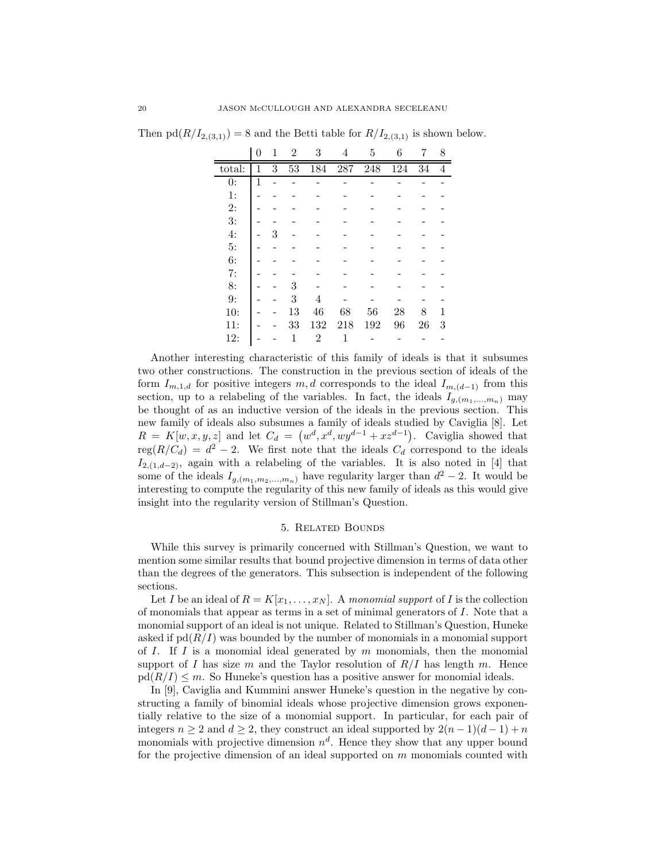|        | 0 | 1 | $\overline{2}$  | 3              | 4       | 5   | 6   | 7  | 8 |
|--------|---|---|-----------------|----------------|---------|-----|-----|----|---|
| total: | 1 | 3 | $\overline{53}$ | 184            | $287\,$ | 248 | 124 | 34 | 4 |
| 0:     | 1 |   |                 |                |         |     |     |    |   |
| 1:     |   |   |                 |                |         |     |     |    |   |
| 2:     |   |   |                 |                |         |     |     |    |   |
| 3:     |   |   |                 |                |         |     |     |    |   |
| 4:     |   | 3 |                 |                |         |     |     |    |   |
| 5:     |   |   |                 |                |         |     |     |    |   |
| 6:     |   |   |                 |                |         |     |     |    |   |
| 7:     |   |   |                 |                |         |     |     |    |   |
| 8:     |   |   | 3               |                |         |     |     |    |   |
| 9:     |   |   | 3               | 4              |         |     |     |    |   |
| 10:    |   |   | 13              | 46             | 68      | 56  | 28  | 8  |   |
| 11:    |   |   | 33              | 132            | 218     | 192 | 96  | 26 | 3 |
| 12:    |   |   | 1               | $\overline{2}$ | 1       |     |     |    |   |

Then  $\text{pd}(R/I_{2,(3,1)})=8$  and the Betti table for  $R/I_{2,(3,1)}$  is shown below.

Another interesting characteristic of this family of ideals is that it subsumes two other constructions. The construction in the previous section of ideals of the form  $I_{m,1,d}$  for positive integers  $m, d$  corresponds to the ideal  $I_{m,(d-1)}$  from this section, up to a relabeling of the variables. In fact, the ideals  $I_{q,(m_1,...,m_n)}$  may be thought of as an inductive version of the ideals in the previous section. This new family of ideals also subsumes a family of ideals studied by Caviglia [8]. Let  $R = K[w, x, y, z]$  and let  $C_d = (w^d, x^d, wy^{d-1} + xz^{d-1})$ . Caviglia showed that  $reg(R/C_d) = d^2 - 2$ . We first note that the ideals  $C_d$  correspond to the ideals  $I_{2,(1,d-2)}$ , again with a relabeling of the variables. It is also noted in [4] that some of the ideals  $I_{g,(m_1,m_2,...,m_n)}$  have regularity larger than  $d^2-2$ . It would be interesting to compute the regularity of this new family of ideals as this would give insight into the regularity version of Stillman's Question.

#### 5. Related Bounds

While this survey is primarily concerned with Stillman's Question, we want to mention some similar results that bound projective dimension in terms of data other than the degrees of the generators. This subsection is independent of the following sections.

Let I be an ideal of  $R = K[x_1, \ldots, x_N]$ . A monomial support of I is the collection of monomials that appear as terms in a set of minimal generators of I. Note that a monomial support of an ideal is not unique. Related to Stillman's Question, Huneke asked if  $pd(R/I)$  was bounded by the number of monomials in a monomial support of I. If I is a monomial ideal generated by  $m$  monomials, then the monomial support of I has size m and the Taylor resolution of  $R/I$  has length m. Hence  $pd(R/I) \leq m$ . So Huneke's question has a positive answer for monomial ideals.

In [9], Caviglia and Kummini answer Huneke's question in the negative by constructing a family of binomial ideals whose projective dimension grows exponentially relative to the size of a monomial support. In particular, for each pair of integers  $n \geq 2$  and  $d \geq 2$ , they construct an ideal supported by  $2(n-1)(d-1) + n$ monomials with projective dimension  $n^d$ . Hence they show that any upper bound for the projective dimension of an ideal supported on  $m$  monomials counted with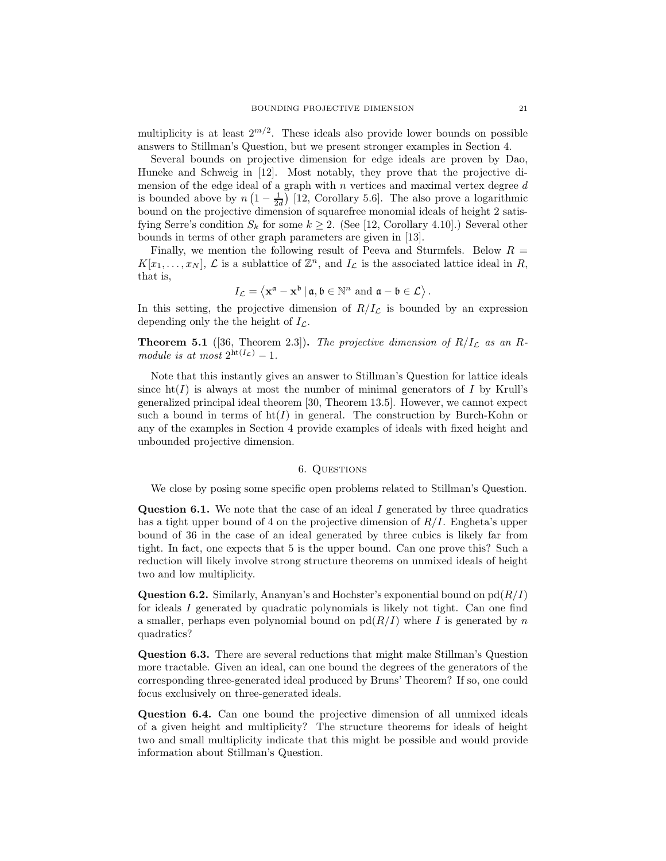multiplicity is at least  $2^{m/2}$ . These ideals also provide lower bounds on possible answers to Stillman's Question, but we present stronger examples in Section 4.

Several bounds on projective dimension for edge ideals are proven by Dao, Huneke and Schweig in [12]. Most notably, they prove that the projective dimension of the edge ideal of a graph with  $n$  vertices and maximal vertex degree  $d$ is bounded above by  $n\left(1-\frac{1}{2d}\right)$  [12, Corollary 5.6]. The also prove a logarithmic bound on the projective dimension of squarefree monomial ideals of height 2 satisfying Serre's condition  $S_k$  for some  $k \geq 2$ . (See [12, Corollary 4.10].) Several other bounds in terms of other graph parameters are given in [13].

Finally, we mention the following result of Peeva and Sturmfels. Below  $R =$  $K[x_1,\ldots,x_N],\,\mathcal{L}$  is a sublattice of  $\mathbb{Z}^n$ , and  $I_{\mathcal{L}}$  is the associated lattice ideal in R, that is,

$$
I_{\mathcal{L}} = \left\langle \mathbf{x}^{\mathfrak{a}} - \mathbf{x}^{\mathfrak{b}} \mid \mathfrak{a}, \mathfrak{b} \in \mathbb{N}^{n} \text{ and } \mathfrak{a} - \mathfrak{b} \in \mathcal{L} \right\rangle.
$$

In this setting, the projective dimension of  $R/I_{\mathcal{L}}$  is bounded by an expression depending only the the height of  $I_{\mathcal{L}}$ .

**Theorem 5.1** ([36, Theorem 2.3]). The projective dimension of  $R/I_c$  as an Rmodule is at most  $2^{ht(I_{\mathcal{L}})} - 1$ .

Note that this instantly gives an answer to Stillman's Question for lattice ideals since  $\text{ht}(I)$  is always at most the number of minimal generators of I by Krull's generalized principal ideal theorem [30, Theorem 13.5]. However, we cannot expect such a bound in terms of  $h(f)$  in general. The construction by Burch-Kohn or any of the examples in Section 4 provide examples of ideals with fixed height and unbounded projective dimension.

# 6. QUESTIONS

We close by posing some specific open problems related to Stillman's Question.

**Question 6.1.** We note that the case of an ideal  $I$  generated by three quadratics has a tight upper bound of 4 on the projective dimension of  $R/I$ . Engheta's upper bound of 36 in the case of an ideal generated by three cubics is likely far from tight. In fact, one expects that 5 is the upper bound. Can one prove this? Such a reduction will likely involve strong structure theorems on unmixed ideals of height two and low multiplicity.

**Question 6.2.** Similarly, Ananyan's and Hochster's exponential bound on  $pd(R/I)$ for ideals I generated by quadratic polynomials is likely not tight. Can one find a smaller, perhaps even polynomial bound on  $p d(R/I)$  where I is generated by n quadratics?

Question 6.3. There are several reductions that might make Stillman's Question more tractable. Given an ideal, can one bound the degrees of the generators of the corresponding three-generated ideal produced by Bruns' Theorem? If so, one could focus exclusively on three-generated ideals.

Question 6.4. Can one bound the projective dimension of all unmixed ideals of a given height and multiplicity? The structure theorems for ideals of height two and small multiplicity indicate that this might be possible and would provide information about Stillman's Question.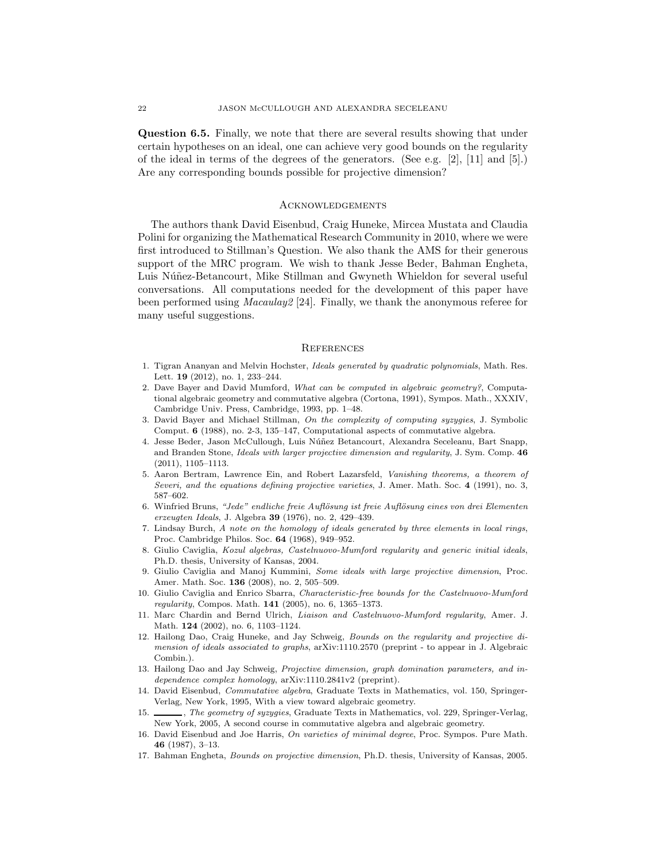Question 6.5. Finally, we note that there are several results showing that under certain hypotheses on an ideal, one can achieve very good bounds on the regularity of the ideal in terms of the degrees of the generators. (See e.g. [2], [11] and [5].) Are any corresponding bounds possible for projective dimension?

#### Acknowledgements

The authors thank David Eisenbud, Craig Huneke, Mircea Mustata and Claudia Polini for organizing the Mathematical Research Community in 2010, where we were first introduced to Stillman's Question. We also thank the AMS for their generous support of the MRC program. We wish to thank Jesse Beder, Bahman Engheta, Luis Núñez-Betancourt, Mike Stillman and Gwyneth Whieldon for several useful conversations. All computations needed for the development of this paper have been performed using Macaulay2 [24]. Finally, we thank the anonymous referee for many useful suggestions.

#### **REFERENCES**

- 1. Tigran Ananyan and Melvin Hochster, Ideals generated by quadratic polynomials, Math. Res. Lett. 19 (2012), no. 1, 233–244.
- 2. Dave Bayer and David Mumford, What can be computed in algebraic geometry?, Computational algebraic geometry and commutative algebra (Cortona, 1991), Sympos. Math., XXXIV, Cambridge Univ. Press, Cambridge, 1993, pp. 1–48.
- 3. David Bayer and Michael Stillman, On the complexity of computing syzygies, J. Symbolic Comput. 6 (1988), no. 2-3, 135–147, Computational aspects of commutative algebra.
- 4. Jesse Beder, Jason McCullough, Luis Núñez Betancourt, Alexandra Seceleanu, Bart Snapp, and Branden Stone, Ideals with larger projective dimension and regularity, J. Sym. Comp. 46 (2011), 1105–1113.
- 5. Aaron Bertram, Lawrence Ein, and Robert Lazarsfeld, Vanishing theorems, a theorem of Severi, and the equations defining projective varieties, J. Amer. Math. Soc. 4 (1991), no. 3, 587–602.
- 6. Winfried Bruns, "Jede" endliche freie Auflösung ist freie Auflösung eines von drei Elementen erzeugten Ideals, J. Algebra 39 (1976), no. 2, 429–439.
- 7. Lindsay Burch, A note on the homology of ideals generated by three elements in local rings, Proc. Cambridge Philos. Soc. 64 (1968), 949–952.
- 8. Giulio Caviglia, Kozul algebras, Castelnuovo-Mumford regularity and generic initial ideals, Ph.D. thesis, University of Kansas, 2004.
- 9. Giulio Caviglia and Manoj Kummini, Some ideals with large projective dimension, Proc. Amer. Math. Soc. 136 (2008), no. 2, 505–509.
- 10. Giulio Caviglia and Enrico Sbarra, Characteristic-free bounds for the Castelnuovo-Mumford regularity, Compos. Math. 141 (2005), no. 6, 1365–1373.
- 11. Marc Chardin and Bernd Ulrich, Liaison and Castelnuovo-Mumford regularity, Amer. J. Math. 124 (2002), no. 6, 1103–1124.
- 12. Hailong Dao, Craig Huneke, and Jay Schweig, Bounds on the regularity and projective dimension of ideals associated to graphs, arXiv:1110.2570 (preprint - to appear in J. Algebraic Combin.).
- 13. Hailong Dao and Jay Schweig, Projective dimension, graph domination parameters, and independence complex homology, arXiv:1110.2841v2 (preprint).
- 14. David Eisenbud, Commutative algebra, Graduate Texts in Mathematics, vol. 150, Springer-Verlag, New York, 1995, With a view toward algebraic geometry.
- 15.  $\_\_\_\_\$ n The geometry of syzygies, Graduate Texts in Mathematics, vol. 229, Springer-Verlag, New York, 2005, A second course in commutative algebra and algebraic geometry.
- 16. David Eisenbud and Joe Harris, On varieties of minimal degree, Proc. Sympos. Pure Math. 46 (1987), 3–13.
- 17. Bahman Engheta, Bounds on projective dimension, Ph.D. thesis, University of Kansas, 2005.